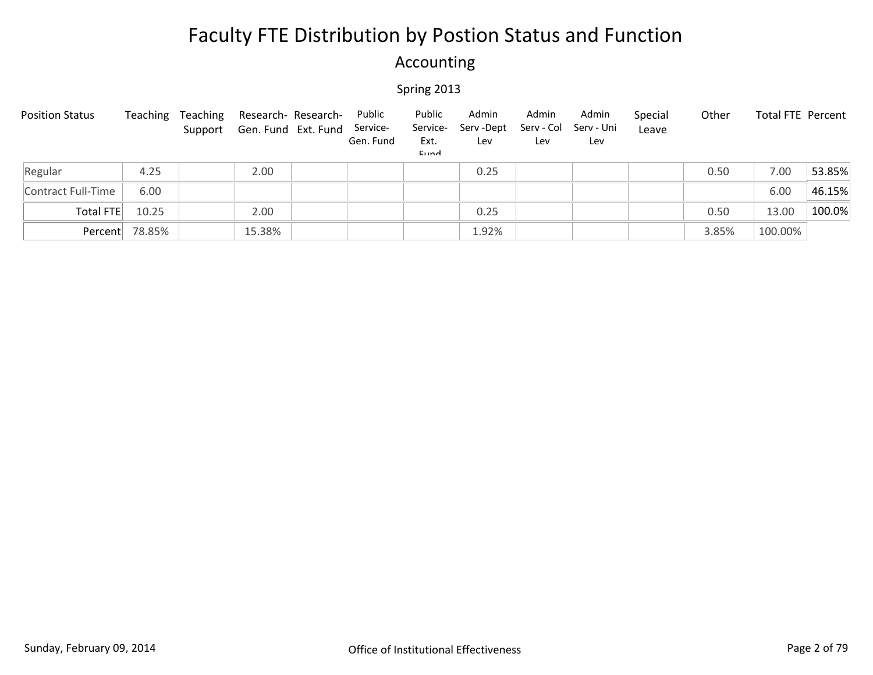### Accounting

| <b>Position Status</b> | Teaching | Teaching | Research- Research-<br>Support Gen. Fund Ext. Fund | Public<br>Service-<br>Gen. Fund | Public<br>Service-<br>Ext.<br>Eund | Admin<br>Serv-Dept<br>Lev | Admin<br>Serv - Col<br>Lev | Admin<br>Serv - Uni<br>Lev | Special<br>Leave | Other | Total FTE Percent |        |
|------------------------|----------|----------|----------------------------------------------------|---------------------------------|------------------------------------|---------------------------|----------------------------|----------------------------|------------------|-------|-------------------|--------|
| Regular                | 4.25     |          | 2.00                                               |                                 |                                    | 0.25                      |                            |                            |                  | 0.50  | 7.00              | 53.85% |
| Contract Full-Time     | 6.00     |          |                                                    |                                 |                                    |                           |                            |                            |                  |       | 6.00              | 46.15% |
| Total FTE              | 10.25    |          | 2.00                                               |                                 |                                    | 0.25                      |                            |                            |                  | 0.50  | 13.00             | 100.0% |
| Percent                | 78.85%   |          | 15.38%                                             |                                 |                                    | 1.92%                     |                            |                            |                  | 3.85% | 100.00%           |        |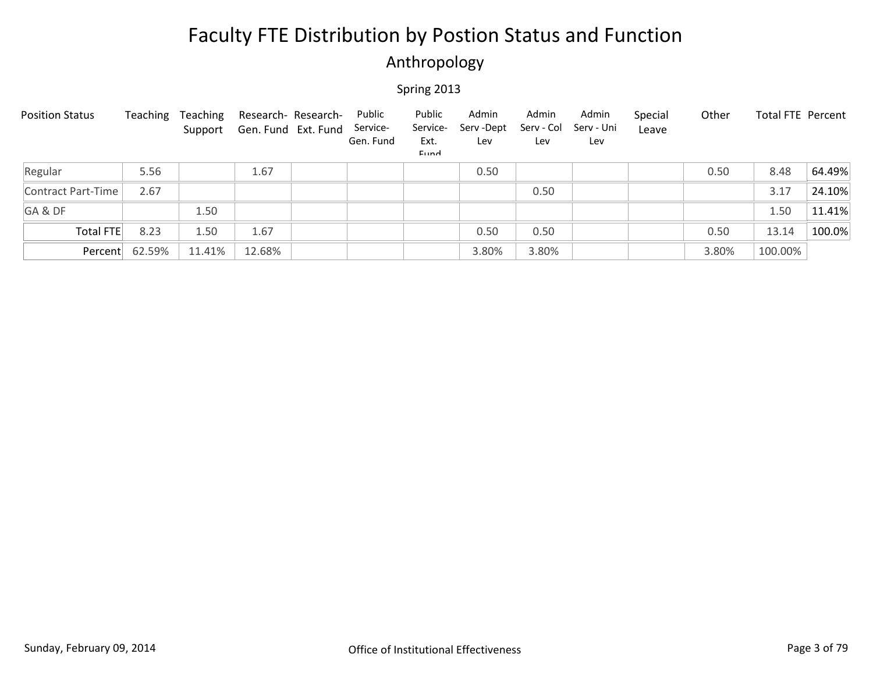### Anthropology

| <b>Position Status</b> | Teaching | Teaching | Research- Research-<br>Support Gen. Fund Ext. Fund | Public<br>Service-<br>Gen. Fund | Public<br>Service-<br>Ext.<br>Eund | Admin<br>Serv - Dept<br>Lev | Admin<br>Serv - Col<br>Lev | Admin<br>Serv - Uni<br>Lev | Special<br>Leave | Other | <b>Total FTE Percent</b> |        |
|------------------------|----------|----------|----------------------------------------------------|---------------------------------|------------------------------------|-----------------------------|----------------------------|----------------------------|------------------|-------|--------------------------|--------|
| Regular                | 5.56     |          | 1.67                                               |                                 |                                    | 0.50                        |                            |                            |                  | 0.50  | 8.48                     | 64.49% |
| Contract Part-Time     | 2.67     |          |                                                    |                                 |                                    |                             | 0.50                       |                            |                  |       | 3.17                     | 24.10% |
| GA&DF                  |          | 1.50     |                                                    |                                 |                                    |                             |                            |                            |                  |       | 1.50                     | 11.41% |
| Total FTE              | 8.23     | 1.50     | 1.67                                               |                                 |                                    | 0.50                        | 0.50                       |                            |                  | 0.50  | 13.14                    | 100.0% |
| Percent                | 62.59%   | 11.41%   | 12.68%                                             |                                 |                                    | 3.80%                       | 3.80%                      |                            |                  | 3.80% | 100.00%                  |        |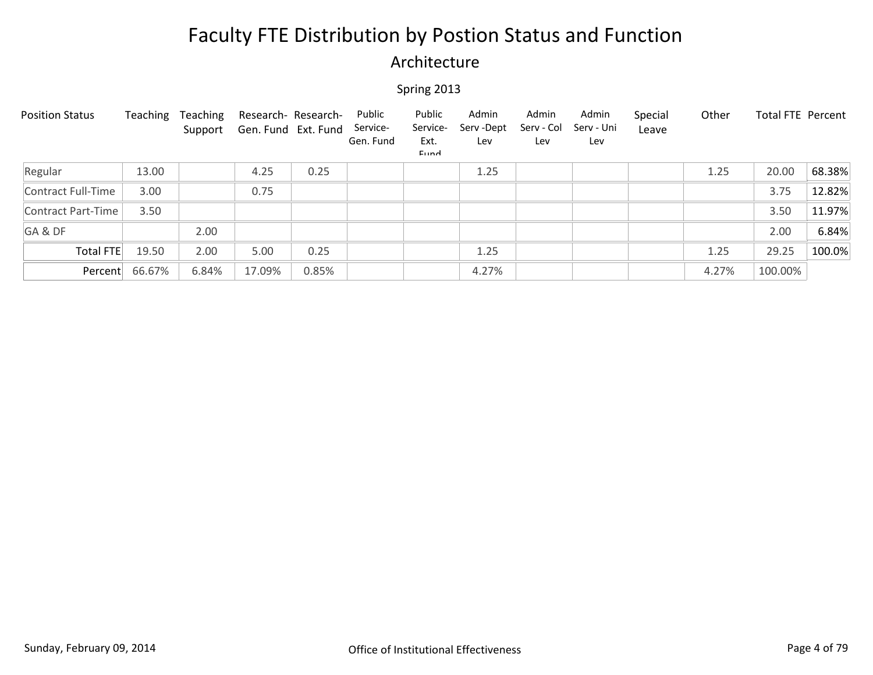### Architecture

| <b>Position Status</b> | Teaching | Teaching<br>Support | Research- Research-<br>Gen. Fund Ext. Fund |       | Public<br>Service-<br>Gen. Fund | Public<br>Service-<br>Ext.<br>Eund | Admin<br>Serv-Dept<br>Lev | Admin<br>Serv - Col<br>Lev | Admin<br>Serv - Uni<br>Lev | Special<br>Leave | Other | <b>Total FTE Percent</b> |        |
|------------------------|----------|---------------------|--------------------------------------------|-------|---------------------------------|------------------------------------|---------------------------|----------------------------|----------------------------|------------------|-------|--------------------------|--------|
| Regular                | 13.00    |                     | 4.25                                       | 0.25  |                                 |                                    | 1.25                      |                            |                            |                  | 1.25  | 20.00                    | 68.38% |
| Contract Full-Time     | 3.00     |                     | 0.75                                       |       |                                 |                                    |                           |                            |                            |                  |       | 3.75                     | 12.82% |
| Contract Part-Time     | 3.50     |                     |                                            |       |                                 |                                    |                           |                            |                            |                  |       | 3.50                     | 11.97% |
| GA&DF                  |          | 2.00                |                                            |       |                                 |                                    |                           |                            |                            |                  |       | 2.00                     | 6.84%  |
| Total FTE              | 19.50    | 2.00                | 5.00                                       | 0.25  |                                 |                                    | 1.25                      |                            |                            |                  | 1.25  | 29.25                    | 100.0% |
| Percent                | 66.67%   | 6.84%               | 17.09%                                     | 0.85% |                                 |                                    | 4.27%                     |                            |                            |                  | 4.27% | 100.00%                  |        |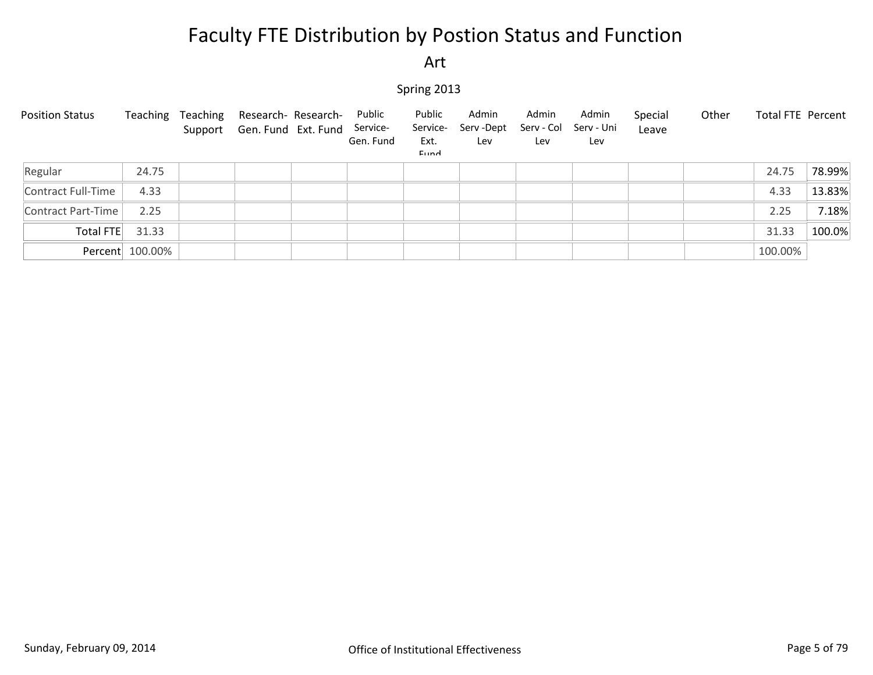#### Art

| <b>Position Status</b> | Teaching        | Teaching | Research- Research-<br>Support Gen. Fund Ext. Fund Service- | Public<br>Gen. Fund | Public<br>Service-<br>Ext.<br>Eund | Admin<br>Serv -Dept<br>Lev | Admin<br>Serv - Col<br>Lev | Admin<br>Serv - Uni<br>Lev | Special<br>Leave | Other | Total FTE Percent |        |
|------------------------|-----------------|----------|-------------------------------------------------------------|---------------------|------------------------------------|----------------------------|----------------------------|----------------------------|------------------|-------|-------------------|--------|
| Regular                | 24.75           |          |                                                             |                     |                                    |                            |                            |                            |                  |       | 24.75             | 78.99% |
| Contract Full-Time     | 4.33            |          |                                                             |                     |                                    |                            |                            |                            |                  |       | 4.33              | 13.83% |
| Contract Part-Time     | 2.25            |          |                                                             |                     |                                    |                            |                            |                            |                  |       | 2.25              | 7.18%  |
| Total FTE              | 31.33           |          |                                                             |                     |                                    |                            |                            |                            |                  |       | 31.33             | 100.0% |
|                        | Percent 100.00% |          |                                                             |                     |                                    |                            |                            |                            |                  |       | 100.00%           |        |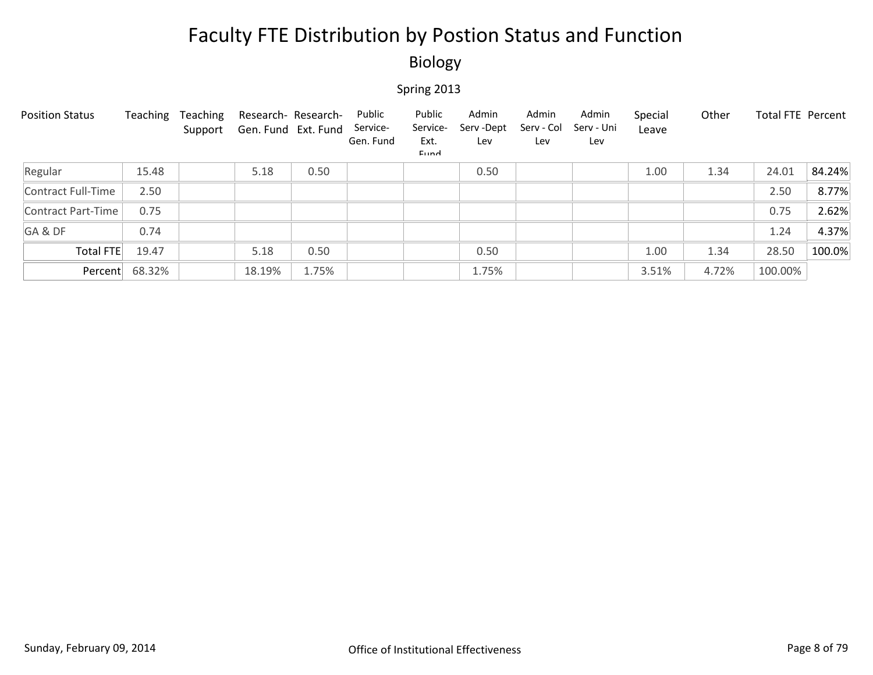### Biology

| <b>Position Status</b> | Teaching       | Teaching<br>Support | Research- Research-<br>Gen. Fund Ext. Fund |       | Public<br>Service-<br>Gen. Fund | Public<br>Service-<br>Ext.<br>Eund | Admin<br>Serv - Dept<br>Lev | Admin<br>Serv - Col<br>Lev | Admin<br>Serv - Uni<br>Lev | Special<br>Leave | Other | Total FTE Percent |        |
|------------------------|----------------|---------------------|--------------------------------------------|-------|---------------------------------|------------------------------------|-----------------------------|----------------------------|----------------------------|------------------|-------|-------------------|--------|
| Regular                | 15.48          |                     | 5.18                                       | 0.50  |                                 |                                    | 0.50                        |                            |                            | 1.00             | 1.34  | 24.01             | 84.24% |
| Contract Full-Time     | 2.50           |                     |                                            |       |                                 |                                    |                             |                            |                            |                  |       | 2.50              | 8.77%  |
| Contract Part-Time     | 0.75           |                     |                                            |       |                                 |                                    |                             |                            |                            |                  |       | 0.75              | 2.62%  |
| GA&DF                  | 0.74           |                     |                                            |       |                                 |                                    |                             |                            |                            |                  |       | 1.24              | 4.37%  |
| Total FTE              | 19.47          |                     | 5.18                                       | 0.50  |                                 |                                    | 0.50                        |                            |                            | 1.00             | 1.34  | 28.50             | 100.0% |
|                        | Percent 68.32% |                     | 18.19%                                     | 1.75% |                                 |                                    | 1.75%                       |                            |                            | 3.51%            | 4.72% | 100.00%           |        |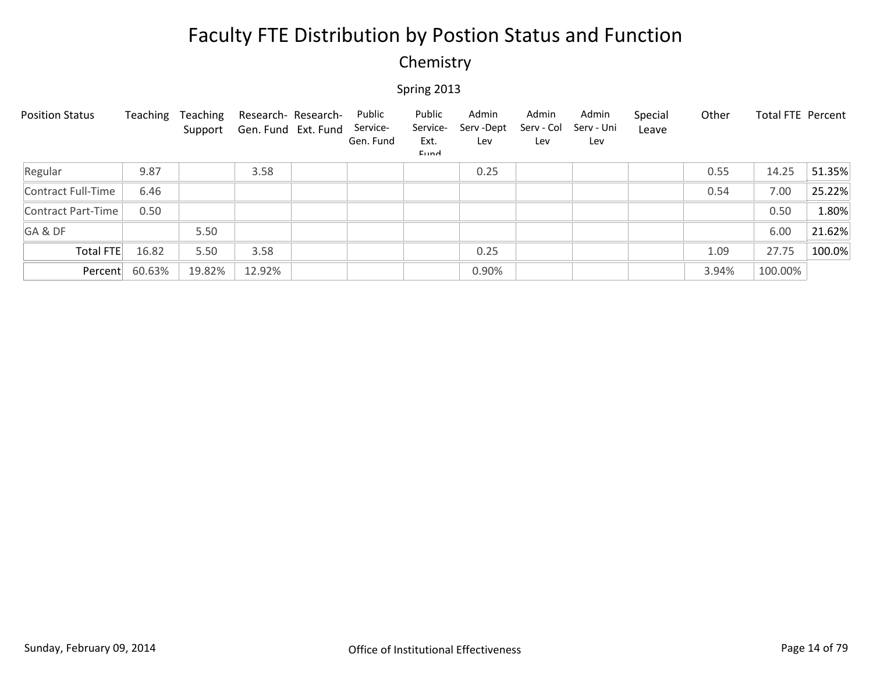### Chemistry

| <b>Position Status</b> | Teaching | Teaching<br>Support | Gen. Fund Ext. Fund | Research- Research- | Public<br>Service-<br>Gen. Fund | Public<br>Service-<br>Ext.<br>Eund | Admin<br>Serv-Dept<br>Lev | Admin<br>Serv - Col<br>Lev | Admin<br>Serv - Uni<br>Lev | Special<br>Leave | Other | <b>Total FTE Percent</b> |        |
|------------------------|----------|---------------------|---------------------|---------------------|---------------------------------|------------------------------------|---------------------------|----------------------------|----------------------------|------------------|-------|--------------------------|--------|
| Regular                | 9.87     |                     | 3.58                |                     |                                 |                                    | 0.25                      |                            |                            |                  | 0.55  | 14.25                    | 51.35% |
| Contract Full-Time     | 6.46     |                     |                     |                     |                                 |                                    |                           |                            |                            |                  | 0.54  | 7.00                     | 25.22% |
| Contract Part-Time     | 0.50     |                     |                     |                     |                                 |                                    |                           |                            |                            |                  |       | 0.50                     | 1.80%  |
| GA&DF                  |          | 5.50                |                     |                     |                                 |                                    |                           |                            |                            |                  |       | 6.00                     | 21.62% |
| <b>Total FTE</b>       | 16.82    | 5.50                | 3.58                |                     |                                 |                                    | 0.25                      |                            |                            |                  | 1.09  | 27.75                    | 100.0% |
| Percent                | 60.63%   | 19.82%              | 12.92%              |                     |                                 |                                    | 0.90%                     |                            |                            |                  | 3.94% | 100.00%                  |        |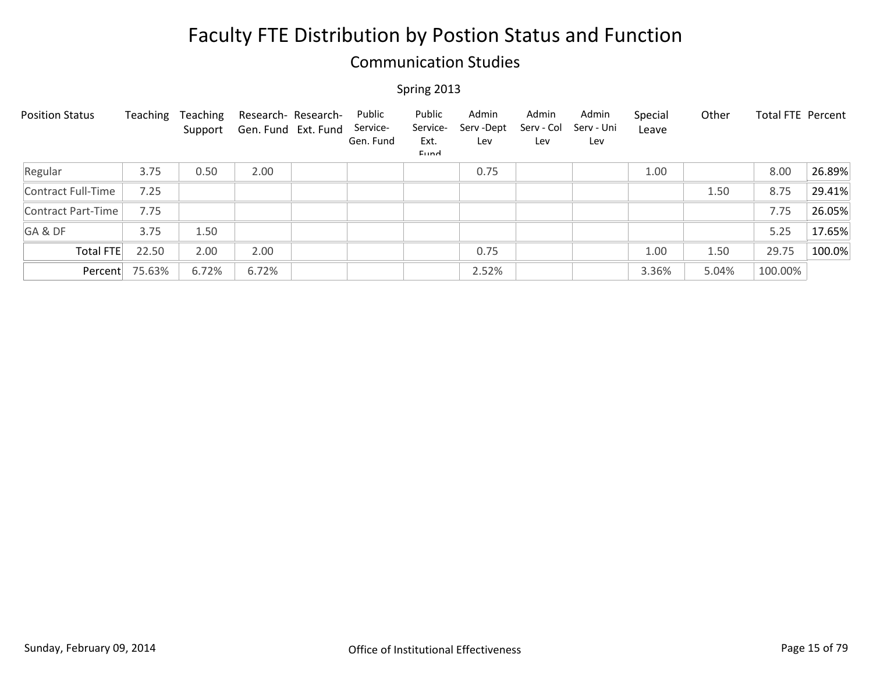### Communication Studies

| <b>Position Status</b> | Teaching | Teaching<br>Support | Research- Research-<br>Gen. Fund Ext. Fund | Public<br>Service-<br>Gen. Fund | Public<br>Service-<br>Ext.<br>Eund | Admin<br>Serv-Dept<br>Lev | Admin<br>Serv - Col<br>Lev | Admin<br>Serv - Uni<br>Lev | Special<br>Leave | Other | Total FTE Percent |        |
|------------------------|----------|---------------------|--------------------------------------------|---------------------------------|------------------------------------|---------------------------|----------------------------|----------------------------|------------------|-------|-------------------|--------|
| Regular                | 3.75     | 0.50                | 2.00                                       |                                 |                                    | 0.75                      |                            |                            | 1.00             |       | 8.00              | 26.89% |
| Contract Full-Time     | 7.25     |                     |                                            |                                 |                                    |                           |                            |                            |                  | 1.50  | 8.75              | 29.41% |
| Contract Part-Time     | 7.75     |                     |                                            |                                 |                                    |                           |                            |                            |                  |       | 7.75              | 26.05% |
| GA&DF                  | 3.75     | 1.50                |                                            |                                 |                                    |                           |                            |                            |                  |       | 5.25              | 17.65% |
| Total FTE              | 22.50    | 2.00                | 2.00                                       |                                 |                                    | 0.75                      |                            |                            | 1.00             | 1.50  | 29.75             | 100.0% |
| Percent                | 75.63%   | 6.72%               | 6.72%                                      |                                 |                                    | 2.52%                     |                            |                            | 3.36%            | 5.04% | 100.00%           |        |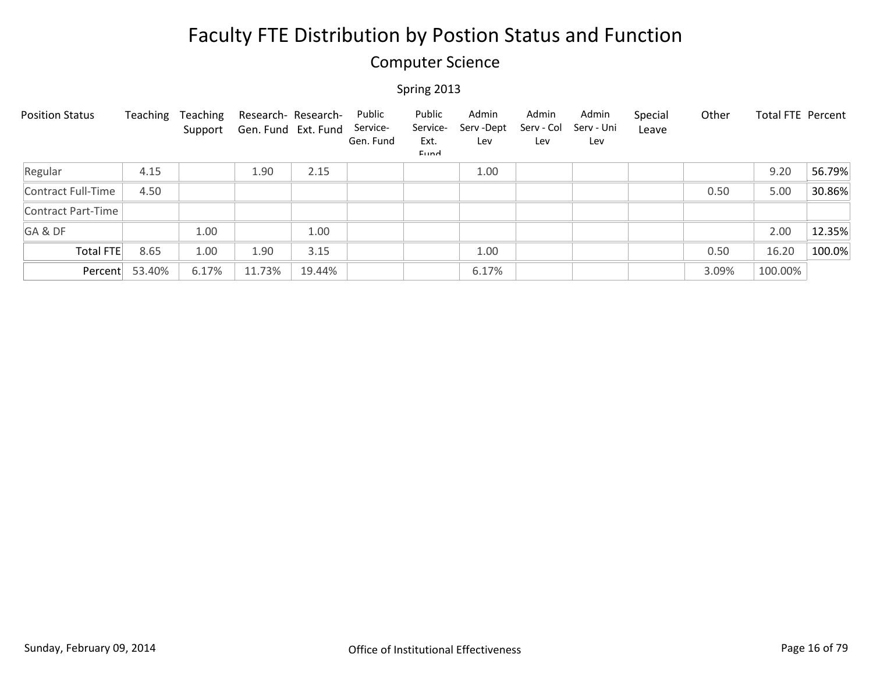### Computer Science

| <b>Position Status</b> | Teaching | Teaching<br>Support | Research- Research-<br>Gen. Fund Ext. Fund |        | Public<br>Service-<br>Gen. Fund | Public<br>Service-<br>Ext.<br>Eund | Admin<br>Serv -Dept<br>Lev | Admin<br>Serv - Col<br>Lev | Admin<br>Serv - Uni<br>Lev | Special<br>Leave | Other | Total FTE Percent |        |
|------------------------|----------|---------------------|--------------------------------------------|--------|---------------------------------|------------------------------------|----------------------------|----------------------------|----------------------------|------------------|-------|-------------------|--------|
| Regular                | 4.15     |                     | 1.90                                       | 2.15   |                                 |                                    | 1.00                       |                            |                            |                  |       | 9.20              | 56.79% |
| Contract Full-Time     | 4.50     |                     |                                            |        |                                 |                                    |                            |                            |                            |                  | 0.50  | 5.00              | 30.86% |
| Contract Part-Time     |          |                     |                                            |        |                                 |                                    |                            |                            |                            |                  |       |                   |        |
| GA&DF                  |          | 1.00                |                                            | 1.00   |                                 |                                    |                            |                            |                            |                  |       | 2.00              | 12.35% |
| <b>Total FTE</b>       | 8.65     | 1.00                | 1.90                                       | 3.15   |                                 |                                    | 1.00                       |                            |                            |                  | 0.50  | 16.20             | 100.0% |
| Percent                | 53.40%   | 6.17%               | 11.73%                                     | 19.44% |                                 |                                    | 6.17%                      |                            |                            |                  | 3.09% | 100.00%           |        |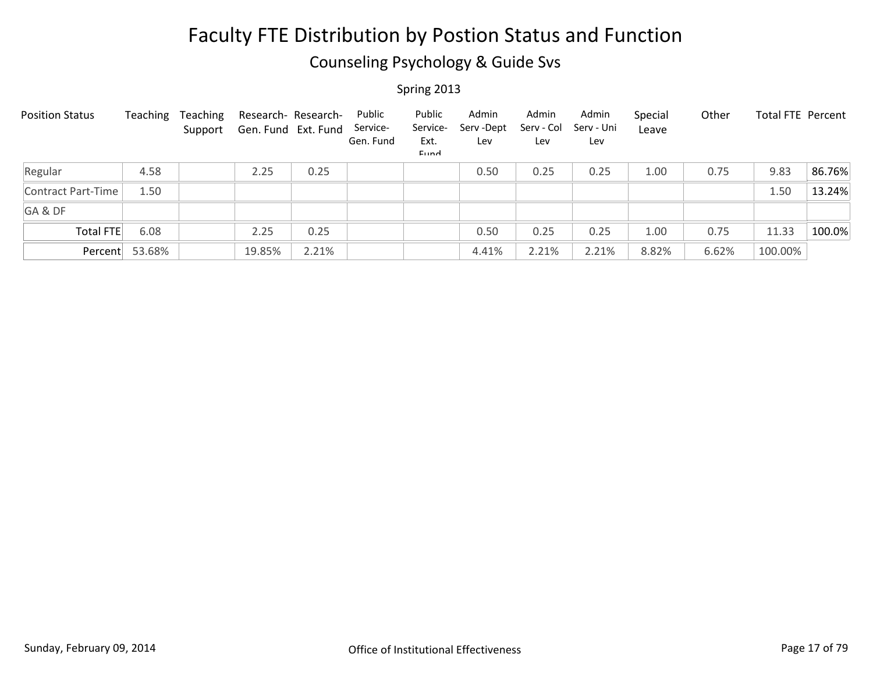### Counseling Psychology & Guide Svs

| <b>Position Status</b> | Teaching | Teaching<br>Support | Research- Research-<br>Gen. Fund Ext. Fund |       | Public<br>Service-<br>Gen. Fund | Public<br>Service-<br>Ext.<br>Eund | Admin<br>Serv-Dept<br>Lev | Admin<br>Serv - Col<br>Lev | Admin<br>Serv - Uni<br>Lev | Special<br>Leave | Other | Total FTE Percent |        |
|------------------------|----------|---------------------|--------------------------------------------|-------|---------------------------------|------------------------------------|---------------------------|----------------------------|----------------------------|------------------|-------|-------------------|--------|
| Regular                | 4.58     |                     | 2.25                                       | 0.25  |                                 |                                    | 0.50                      | 0.25                       | 0.25                       | 1.00             | 0.75  | 9.83              | 86.76% |
| Contract Part-Time     | 1.50     |                     |                                            |       |                                 |                                    |                           |                            |                            |                  |       | 1.50              | 13.24% |
| GA&DF                  |          |                     |                                            |       |                                 |                                    |                           |                            |                            |                  |       |                   |        |
| Total FTE              | 6.08     |                     | 2.25                                       | 0.25  |                                 |                                    | 0.50                      | 0.25                       | 0.25                       | 1.00             | 0.75  | 11.33             | 100.0% |
| Percent                | 53.68%   |                     | 19.85%                                     | 2.21% |                                 |                                    | 4.41%                     | 2.21%                      | 2.21%                      | 8.82%            | 6.62% | 100.00%           |        |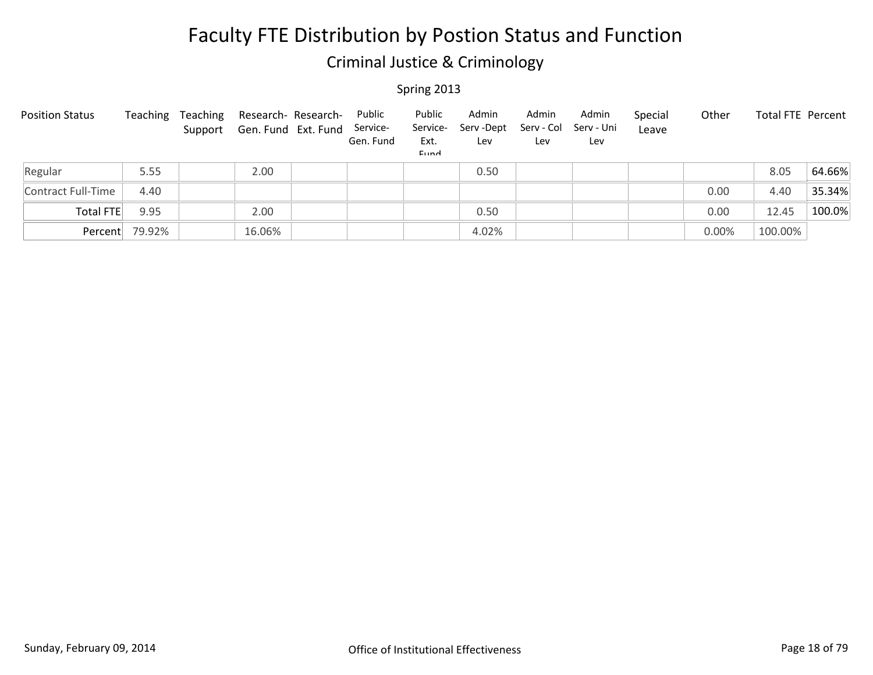### Criminal Justice & Criminology

| <b>Position Status</b> | Teaching | Teaching | Research- Research-<br>Support Gen. Fund Ext. Fund | Public<br>Service-<br>Gen. Fund | Public<br>Service-<br>Ext.<br><b>Fund</b> | Admin<br>Serv-Dept<br>Lev | Admin<br>Serv - Col<br>Lev | Admin<br>Serv - Uni<br>Lev | Special<br>Leave | Other | <b>Total FTE Percent</b> |        |
|------------------------|----------|----------|----------------------------------------------------|---------------------------------|-------------------------------------------|---------------------------|----------------------------|----------------------------|------------------|-------|--------------------------|--------|
| Regular                | 5.55     |          | 2.00                                               |                                 |                                           | 0.50                      |                            |                            |                  |       | 8.05                     | 64.66% |
| Contract Full-Time     | 4.40     |          |                                                    |                                 |                                           |                           |                            |                            |                  | 0.00  | 4.40                     | 35.34% |
| Total FTE              | 9.95     |          | 2.00                                               |                                 |                                           | 0.50                      |                            |                            |                  | 0.00  | 12.45                    | 100.0% |
| Percent                | 79.92%   |          | 16.06%                                             |                                 |                                           | 4.02%                     |                            |                            |                  | 0.00% | 100.00%                  |        |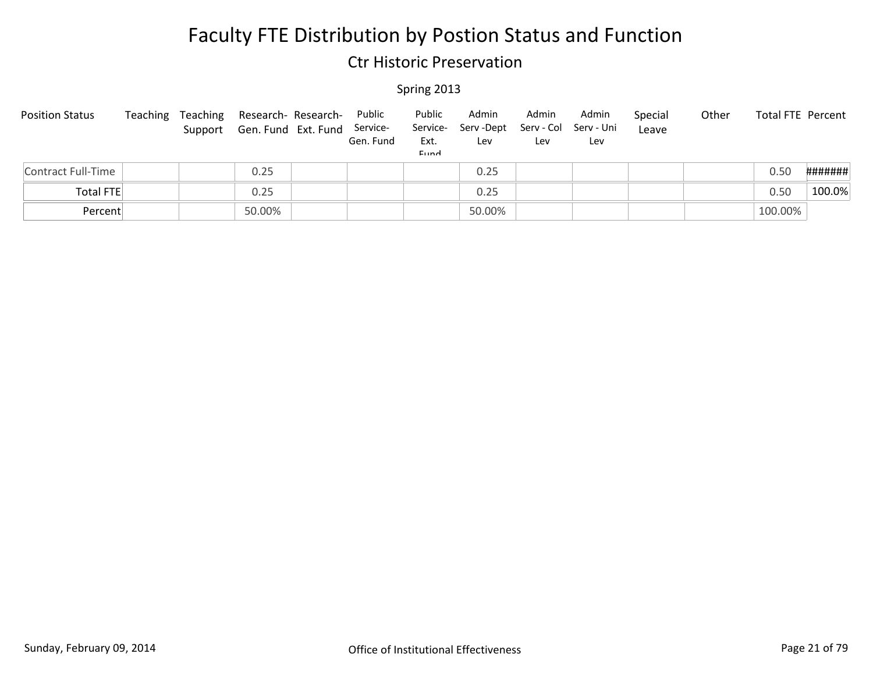### Ctr Historic Preservation

| <b>Position Status</b> | Teaching | Teaching | Research- Research-<br>Support Gen. Fund Ext. Fund Service- | Public<br>Gen. Fund | Public<br>Ext.<br>Eund | Admin<br>Service- Serv-Dept<br>Lev | Admin<br>Lev | Admin<br>Serv - Col Serv - Uni<br>Lev | Special<br>Leave | Other | Total FTE Percent |         |
|------------------------|----------|----------|-------------------------------------------------------------|---------------------|------------------------|------------------------------------|--------------|---------------------------------------|------------------|-------|-------------------|---------|
| Contract Full-Time     |          |          | 0.25                                                        |                     |                        | 0.25                               |              |                                       |                  |       | 0.50              | ####### |
| <b>Total FTE</b>       |          |          | 0.25                                                        |                     |                        | 0.25                               |              |                                       |                  |       | 0.50              | 100.0%  |
| Percent                |          |          | 50.00%                                                      |                     |                        | 50.00%                             |              |                                       |                  |       | 100.00%           |         |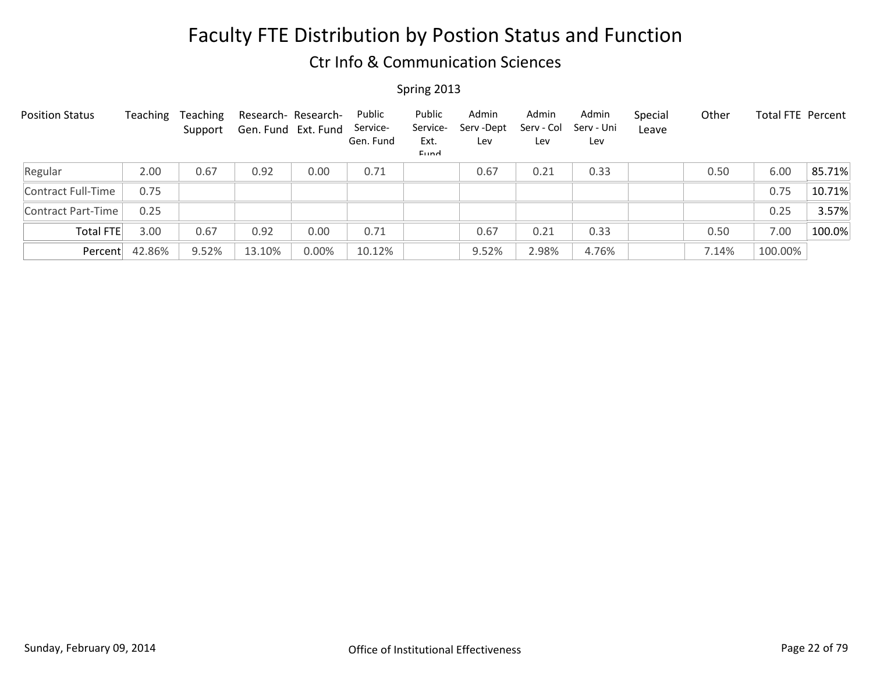### Ctr Info & Communication Sciences

| <b>Position Status</b>    | Teaching | Teaching<br>Support | Gen. Fund Ext. Fund | Research- Research- | Public<br>Service-<br>Gen. Fund | Public<br>Service-<br>Ext.<br>Eund | Admin<br>Serv-Dept<br>Lev | Admin<br>Serv - Col<br>Lev | Admin<br>Serv - Uni<br>Lev | Special<br>Leave | Other | Total FTE Percent |        |
|---------------------------|----------|---------------------|---------------------|---------------------|---------------------------------|------------------------------------|---------------------------|----------------------------|----------------------------|------------------|-------|-------------------|--------|
| Regular                   | 2.00     | 0.67                | 0.92                | 0.00                | 0.71                            |                                    | 0.67                      | 0.21                       | 0.33                       |                  | 0.50  | 6.00              | 85.71% |
| Contract Full-Time        | 0.75     |                     |                     |                     |                                 |                                    |                           |                            |                            |                  |       | 0.75              | 10.71% |
| <b>Contract Part-Time</b> | 0.25     |                     |                     |                     |                                 |                                    |                           |                            |                            |                  |       | 0.25              | 3.57%  |
| Total FTE                 | 3.00     | 0.67                | 0.92                | 0.00                | 0.71                            |                                    | 0.67                      | 0.21                       | 0.33                       |                  | 0.50  | 7.00              | 100.0% |
| Percent                   | 42.86%   | 9.52%               | 13.10%              | 0.00%               | 10.12%                          |                                    | 9.52%                     | 2.98%                      | 4.76%                      |                  | 7.14% | 100.00%           |        |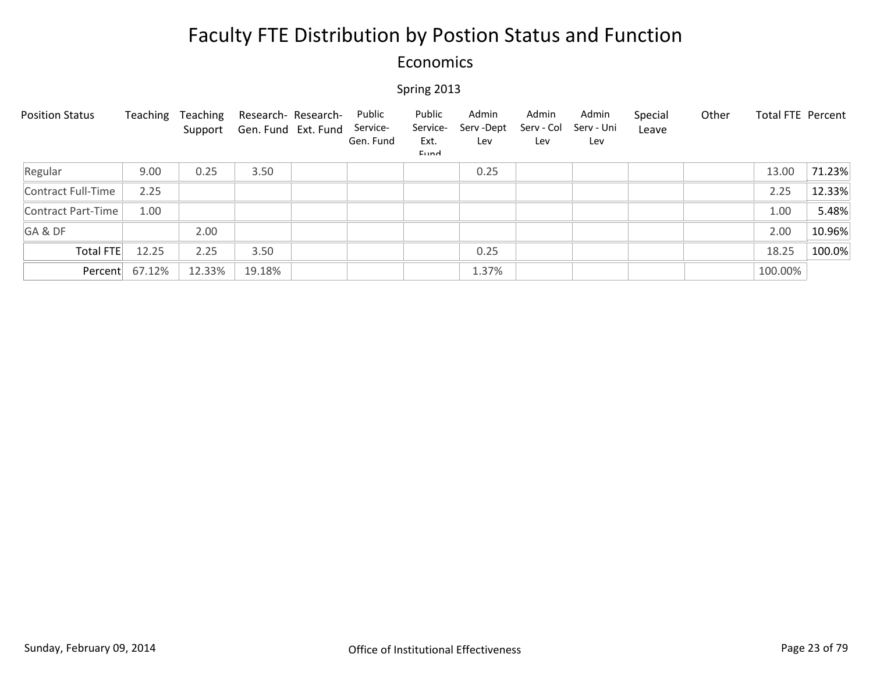### Economics

| <b>Position Status</b> | Teaching       | Teaching<br>Support | Research- Research-<br>Gen. Fund Ext. Fund | Public<br>Service-<br>Gen. Fund | Public<br>Service-<br>Ext.<br>Eund | Admin<br>Serv-Dept<br>Lev | Admin<br>Serv - Col<br>Lev | Admin<br>Serv - Uni<br>Lev | Special<br>Leave | Other | <b>Total FTE Percent</b> |        |
|------------------------|----------------|---------------------|--------------------------------------------|---------------------------------|------------------------------------|---------------------------|----------------------------|----------------------------|------------------|-------|--------------------------|--------|
| Regular                | 9.00           | 0.25                | 3.50                                       |                                 |                                    | 0.25                      |                            |                            |                  |       | 13.00                    | 71.23% |
| Contract Full-Time     | 2.25           |                     |                                            |                                 |                                    |                           |                            |                            |                  |       | 2.25                     | 12.33% |
| Contract Part-Time     | 1.00           |                     |                                            |                                 |                                    |                           |                            |                            |                  |       | 1.00                     | 5.48%  |
| GA&DF                  |                | 2.00                |                                            |                                 |                                    |                           |                            |                            |                  |       | 2.00                     | 10.96% |
| Total FTE              | 12.25          | 2.25                | 3.50                                       |                                 |                                    | 0.25                      |                            |                            |                  |       | 18.25                    | 100.0% |
|                        | Percent 67.12% | 12.33%              | 19.18%                                     |                                 |                                    | 1.37%                     |                            |                            |                  |       | 100.00%                  |        |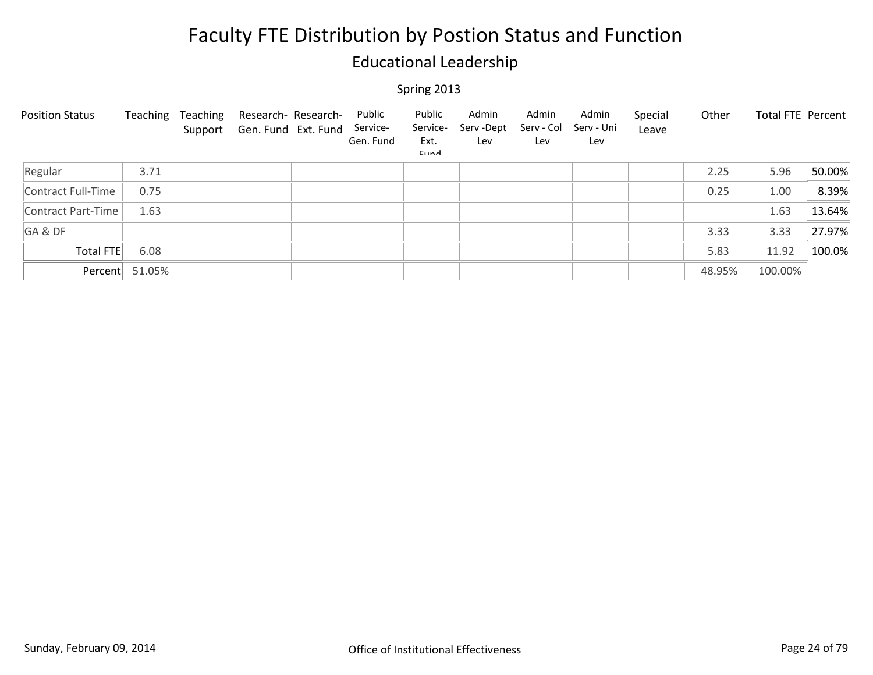### Educational Leadership

| <b>Position Status</b> | Teaching       | Teaching<br>Support | Research- Research-<br>Gen. Fund Ext. Fund | Public<br>Service-<br>Gen. Fund | Public<br>Service-<br>Ext.<br>Eund | Admin<br>Serv-Dept<br>Lev | Admin<br>Serv - Col<br>Lev | Admin<br>Serv - Uni<br>Lev | Special<br>Leave | Other  | Total FTE Percent |        |
|------------------------|----------------|---------------------|--------------------------------------------|---------------------------------|------------------------------------|---------------------------|----------------------------|----------------------------|------------------|--------|-------------------|--------|
| Regular                | 3.71           |                     |                                            |                                 |                                    |                           |                            |                            |                  | 2.25   | 5.96              | 50.00% |
| Contract Full-Time     | 0.75           |                     |                                            |                                 |                                    |                           |                            |                            |                  | 0.25   | 1.00              | 8.39%  |
| Contract Part-Time     | 1.63           |                     |                                            |                                 |                                    |                           |                            |                            |                  |        | 1.63              | 13.64% |
| GA&DF                  |                |                     |                                            |                                 |                                    |                           |                            |                            |                  | 3.33   | 3.33              | 27.97% |
| <b>Total FTE</b>       | 6.08           |                     |                                            |                                 |                                    |                           |                            |                            |                  | 5.83   | 11.92             | 100.0% |
|                        | Percent 51.05% |                     |                                            |                                 |                                    |                           |                            |                            |                  | 48.95% | 100.00%           |        |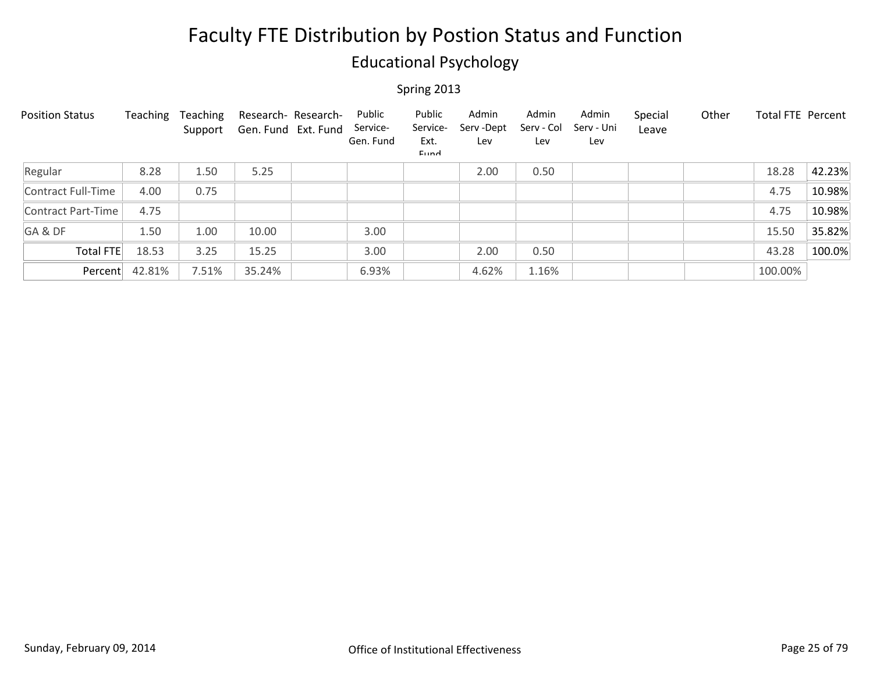### Educational Psychology

| <b>Position Status</b> | Teaching | Teaching<br>Support | Research- Research-<br>Gen. Fund Ext. Fund | Public<br>Service-<br>Gen. Fund | Public<br>Service-<br>Ext.<br>Eund | Admin<br>Serv-Dept<br>Lev | Admin<br>Serv - Col<br>Lev | Admin<br>Serv - Uni<br>Lev | Special<br>Leave | Other | Total FTE Percent |        |
|------------------------|----------|---------------------|--------------------------------------------|---------------------------------|------------------------------------|---------------------------|----------------------------|----------------------------|------------------|-------|-------------------|--------|
| Regular                | 8.28     | 1.50                | 5.25                                       |                                 |                                    | 2.00                      | 0.50                       |                            |                  |       | 18.28             | 42.23% |
| Contract Full-Time     | 4.00     | 0.75                |                                            |                                 |                                    |                           |                            |                            |                  |       | 4.75              | 10.98% |
| Contract Part-Time     | 4.75     |                     |                                            |                                 |                                    |                           |                            |                            |                  |       | 4.75              | 10.98% |
| GA&DF                  | 1.50     | 1.00                | 10.00                                      | 3.00                            |                                    |                           |                            |                            |                  |       | 15.50             | 35.82% |
| Total FTE              | 18.53    | 3.25                | 15.25                                      | 3.00                            |                                    | 2.00                      | 0.50                       |                            |                  |       | 43.28             | 100.0% |
| Percent                | 42.81%   | 7.51%               | 35.24%                                     | 6.93%                           |                                    | 4.62%                     | 1.16%                      |                            |                  |       | 100.00%           |        |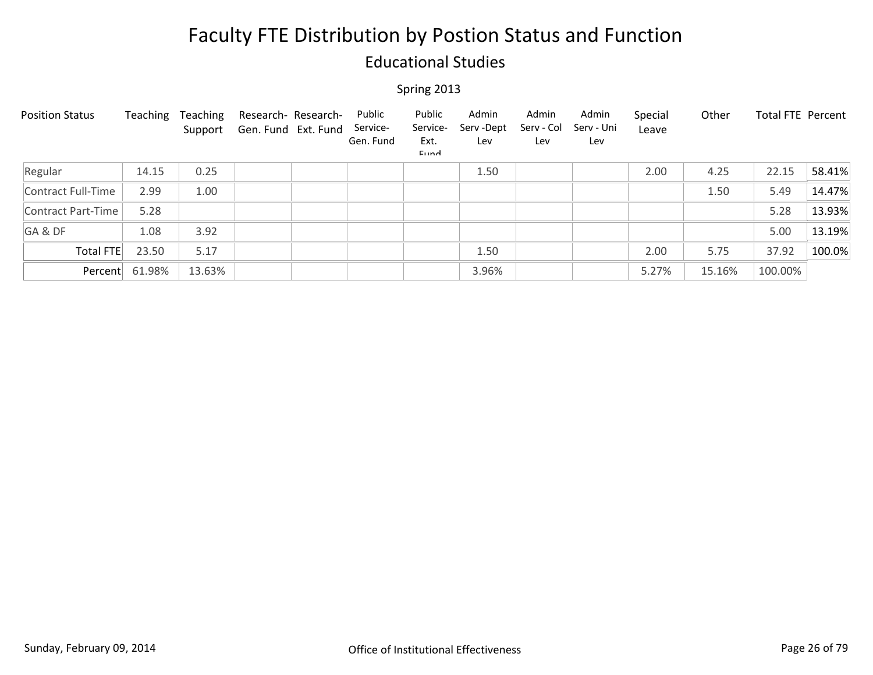### Educational Studies

| <b>Position Status</b> | Teaching | Teaching<br>Support | Research- Research-<br>Gen. Fund Ext. Fund | Public<br>Service-<br>Gen. Fund | Public<br>Service-<br>Ext.<br>Eund | Admin<br>Serv-Dept<br>Lev | Admin<br>Serv - Col<br>Lev | Admin<br>Serv - Uni<br>Lev | Special<br>Leave | Other  | Total FTE Percent |        |
|------------------------|----------|---------------------|--------------------------------------------|---------------------------------|------------------------------------|---------------------------|----------------------------|----------------------------|------------------|--------|-------------------|--------|
| Regular                | 14.15    | 0.25                |                                            |                                 |                                    | 1.50                      |                            |                            | 2.00             | 4.25   | 22.15             | 58.41% |
| Contract Full-Time     | 2.99     | 1.00                |                                            |                                 |                                    |                           |                            |                            |                  | 1.50   | 5.49              | 14.47% |
| Contract Part-Time     | 5.28     |                     |                                            |                                 |                                    |                           |                            |                            |                  |        | 5.28              | 13.93% |
| GA&DF                  | 1.08     | 3.92                |                                            |                                 |                                    |                           |                            |                            |                  |        | 5.00              | 13.19% |
| Total FTE              | 23.50    | 5.17                |                                            |                                 |                                    | 1.50                      |                            |                            | 2.00             | 5.75   | 37.92             | 100.0% |
| Percent                | 61.98%   | 13.63%              |                                            |                                 |                                    | 3.96%                     |                            |                            | 5.27%            | 15.16% | 100.00%           |        |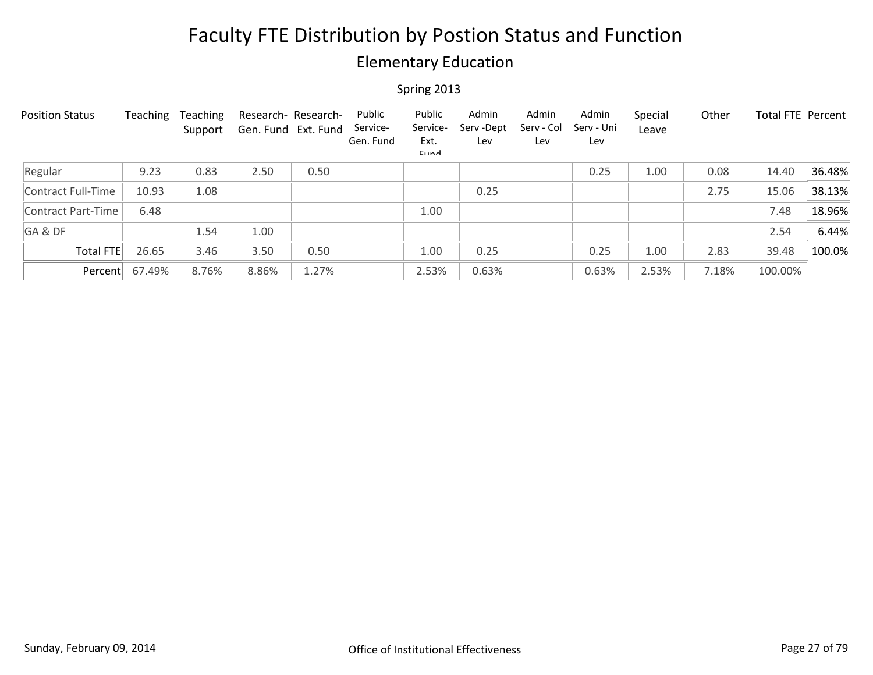### Elementary Education

| <b>Position Status</b> | Teaching | Teaching<br>Support | Research- Research-<br>Gen. Fund Ext. Fund |       | Public<br>Service-<br>Gen. Fund | Public<br>Service-<br>Ext.<br>Eund | Admin<br>Serv-Dept<br>Lev | Admin<br>Serv - Col<br>Lev | Admin<br>Serv - Uni<br>Lev | Special<br>Leave | Other | Total FTE Percent |        |
|------------------------|----------|---------------------|--------------------------------------------|-------|---------------------------------|------------------------------------|---------------------------|----------------------------|----------------------------|------------------|-------|-------------------|--------|
| Regular                | 9.23     | 0.83                | 2.50                                       | 0.50  |                                 |                                    |                           |                            | 0.25                       | 1.00             | 0.08  | 14.40             | 36.48% |
| Contract Full-Time     | 10.93    | 1.08                |                                            |       |                                 |                                    | 0.25                      |                            |                            |                  | 2.75  | 15.06             | 38.13% |
| Contract Part-Time     | 6.48     |                     |                                            |       |                                 | 1.00                               |                           |                            |                            |                  |       | 7.48              | 18.96% |
| GA&DF                  |          | 1.54                | 1.00                                       |       |                                 |                                    |                           |                            |                            |                  |       | 2.54              | 6.44%  |
| Total FTE              | 26.65    | 3.46                | 3.50                                       | 0.50  |                                 | 1.00                               | 0.25                      |                            | 0.25                       | 1.00             | 2.83  | 39.48             | 100.0% |
| Percent                | 67.49%   | 8.76%               | 8.86%                                      | 1.27% |                                 | 2.53%                              | 0.63%                     |                            | 0.63%                      | 2.53%            | 7.18% | 100.00%           |        |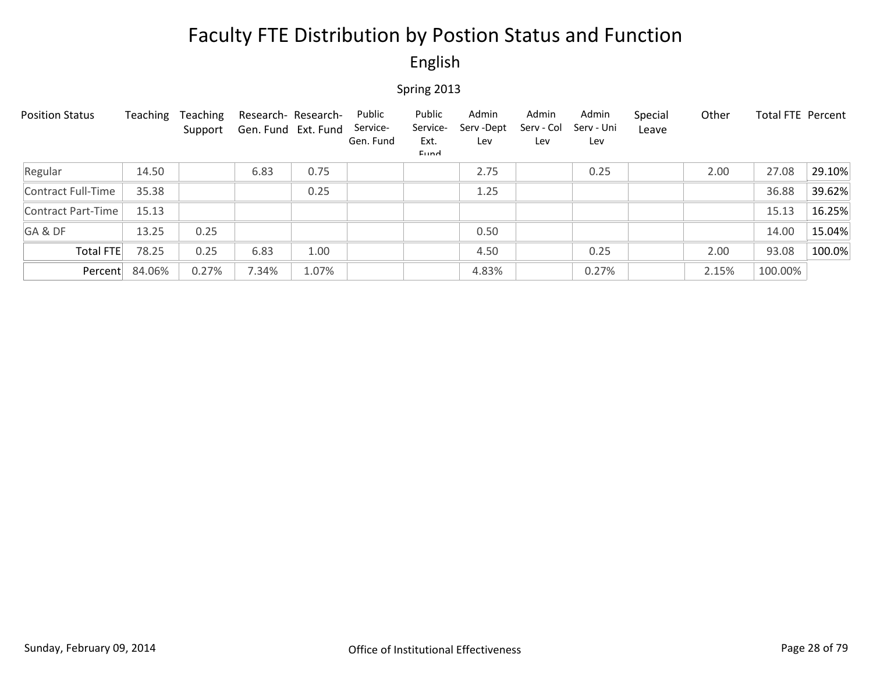### English

| <b>Position Status</b> | Teaching | Teaching<br>Support | Research- Research-<br>Gen. Fund Ext. Fund |       | Public<br>Service-<br>Gen. Fund | Public<br>Service-<br>Ext.<br>Eund | Admin<br>Serv-Dept<br>Lev | Admin<br>Serv - Col<br>Lev | Admin<br>Serv - Uni<br>Lev | Special<br>Leave | Other | Total FTE Percent |        |
|------------------------|----------|---------------------|--------------------------------------------|-------|---------------------------------|------------------------------------|---------------------------|----------------------------|----------------------------|------------------|-------|-------------------|--------|
| Regular                | 14.50    |                     | 6.83                                       | 0.75  |                                 |                                    | 2.75                      |                            | 0.25                       |                  | 2.00  | 27.08             | 29.10% |
| Contract Full-Time     | 35.38    |                     |                                            | 0.25  |                                 |                                    | 1.25                      |                            |                            |                  |       | 36.88             | 39.62% |
| Contract Part-Time     | 15.13    |                     |                                            |       |                                 |                                    |                           |                            |                            |                  |       | 15.13             | 16.25% |
| GA&DF                  | 13.25    | 0.25                |                                            |       |                                 |                                    | 0.50                      |                            |                            |                  |       | 14.00             | 15.04% |
| <b>Total FTE</b>       | 78.25    | 0.25                | 6.83                                       | 1.00  |                                 |                                    | 4.50                      |                            | 0.25                       |                  | 2.00  | 93.08             | 100.0% |
| Percent                | 84.06%   | 0.27%               | 7.34%                                      | 1.07% |                                 |                                    | 4.83%                     |                            | 0.27%                      |                  | 2.15% | 100.00%           |        |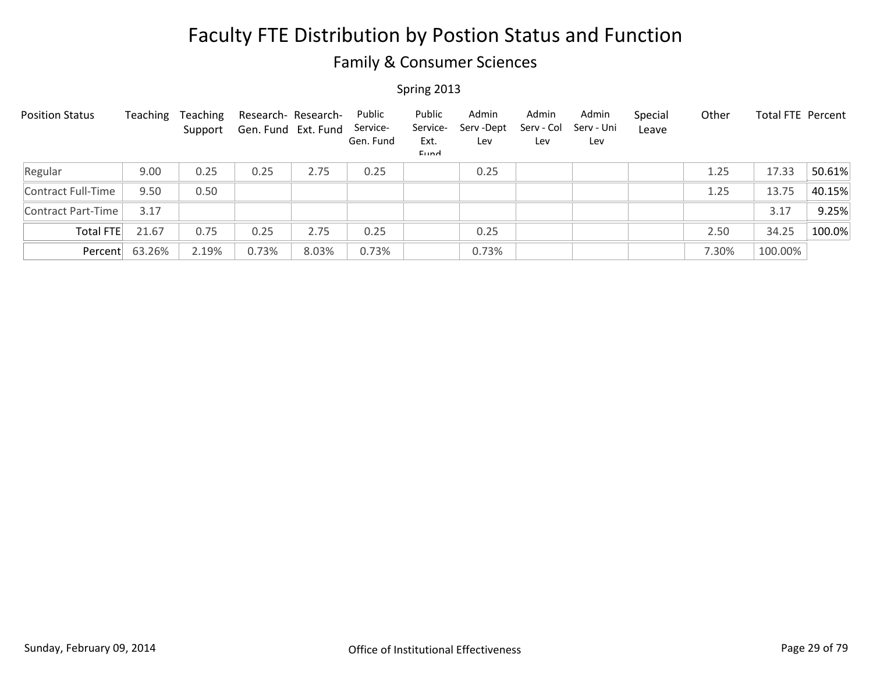### Family & Consumer Sciences

| <b>Position Status</b> | Teaching | Teaching<br>Support | Gen. Fund Ext. Fund | Research- Research- | Public<br>Service-<br>Gen. Fund | Public<br>Service-<br>Ext.<br>Eund | Admin<br>Serv - Dept<br>Lev | Admin<br>Serv - Col<br>Lev | Admin<br>Serv - Uni<br>Lev | Special<br>Leave | Other | <b>Total FTE Percent</b> |        |
|------------------------|----------|---------------------|---------------------|---------------------|---------------------------------|------------------------------------|-----------------------------|----------------------------|----------------------------|------------------|-------|--------------------------|--------|
| Regular                | 9.00     | 0.25                | 0.25                | 2.75                | 0.25                            |                                    | 0.25                        |                            |                            |                  | 1.25  | 17.33                    | 50.61% |
| Contract Full-Time     | 9.50     | 0.50                |                     |                     |                                 |                                    |                             |                            |                            |                  | 1.25  | 13.75                    | 40.15% |
| Contract Part-Time     | 3.17     |                     |                     |                     |                                 |                                    |                             |                            |                            |                  |       | 3.17                     | 9.25%  |
| Total FTE              | 21.67    | 0.75                | 0.25                | 2.75                | 0.25                            |                                    | 0.25                        |                            |                            |                  | 2.50  | 34.25                    | 100.0% |
| Percent                | 63.26%   | 2.19%               | 0.73%               | 8.03%               | 0.73%                           |                                    | 0.73%                       |                            |                            |                  | 7.30% | 100.00%                  |        |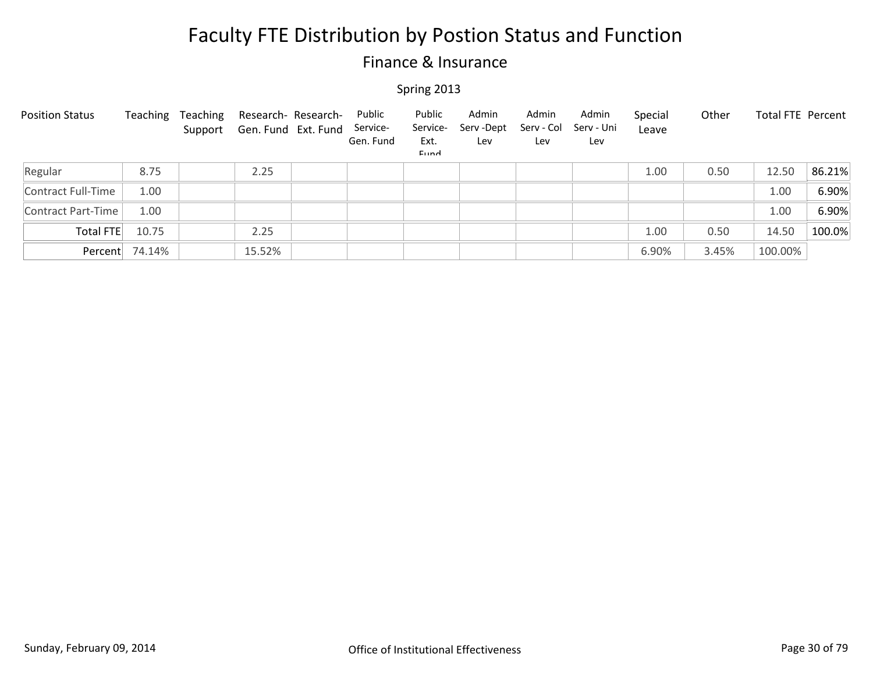### Finance & Insurance

| <b>Position Status</b> | Teaching       | Teaching | Research- Research-<br>Support Gen. Fund Ext. Fund | Public<br>Service-<br>Gen. Fund | Public<br>Service-<br>Ext.<br>Eund | Admin<br>Serv-Dept<br>Lev | Admin<br>Serv - Col<br>Lev | Admin<br>Serv - Uni<br>Lev | Special<br>Leave | Other | Total FTE Percent |        |
|------------------------|----------------|----------|----------------------------------------------------|---------------------------------|------------------------------------|---------------------------|----------------------------|----------------------------|------------------|-------|-------------------|--------|
| Regular                | 8.75           |          | 2.25                                               |                                 |                                    |                           |                            |                            | 1.00             | 0.50  | 12.50             | 86.21% |
| Contract Full-Time     | 1.00           |          |                                                    |                                 |                                    |                           |                            |                            |                  |       | 1.00              | 6.90%  |
| Contract Part-Time     | 1.00           |          |                                                    |                                 |                                    |                           |                            |                            |                  |       | 1.00              | 6.90%  |
| Total FTE              | 10.75          |          | 2.25                                               |                                 |                                    |                           |                            |                            | 1.00             | 0.50  | 14.50             | 100.0% |
|                        | Percent 74.14% |          | 15.52%                                             |                                 |                                    |                           |                            |                            | 6.90%            | 3.45% | 100.00%           |        |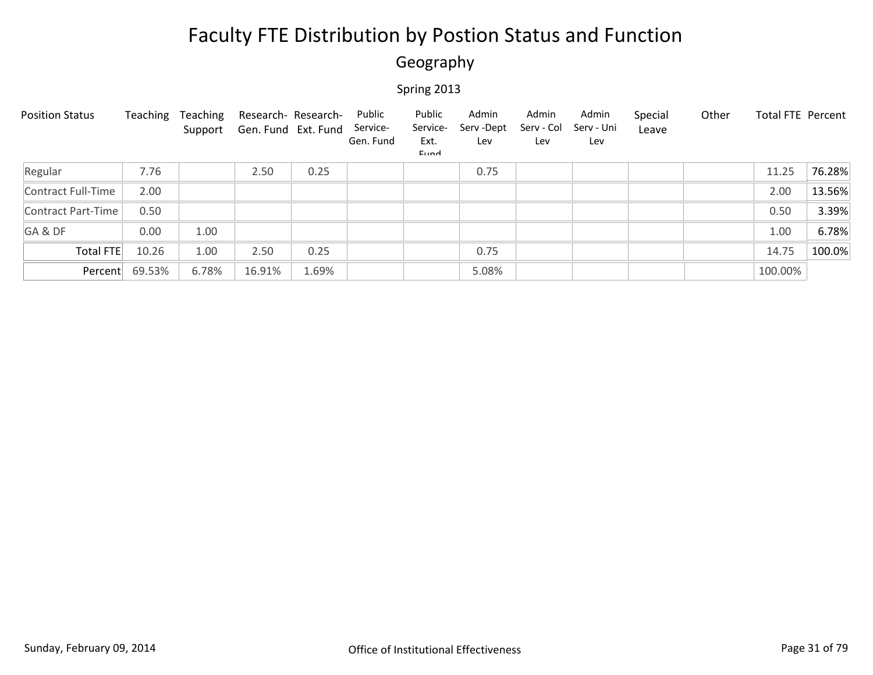### Geography

| <b>Position Status</b> | Teaching | Teaching<br>Support | Research- Research-<br>Gen. Fund Ext. Fund |       | Public<br>Service-<br>Gen. Fund | Public<br>Service-<br>Ext.<br>Eund | Admin<br>Serv-Dept<br>Lev | Admin<br>Serv - Col<br>Lev | Admin<br>Serv - Uni<br>Lev | Special<br>Leave | Other | <b>Total FTE Percent</b> |        |
|------------------------|----------|---------------------|--------------------------------------------|-------|---------------------------------|------------------------------------|---------------------------|----------------------------|----------------------------|------------------|-------|--------------------------|--------|
| Regular                | 7.76     |                     | 2.50                                       | 0.25  |                                 |                                    | 0.75                      |                            |                            |                  |       | 11.25                    | 76.28% |
| Contract Full-Time     | 2.00     |                     |                                            |       |                                 |                                    |                           |                            |                            |                  |       | 2.00                     | 13.56% |
| Contract Part-Time     | 0.50     |                     |                                            |       |                                 |                                    |                           |                            |                            |                  |       | 0.50                     | 3.39%  |
| GA&DF                  | 0.00     | 1.00                |                                            |       |                                 |                                    |                           |                            |                            |                  |       | 1.00                     | 6.78%  |
| Total FTE              | 10.26    | 1.00                | 2.50                                       | 0.25  |                                 |                                    | 0.75                      |                            |                            |                  |       | 14.75                    | 100.0% |
| Percent                | 69.53%   | 6.78%               | 16.91%                                     | 1.69% |                                 |                                    | 5.08%                     |                            |                            |                  |       | 100.00%                  |        |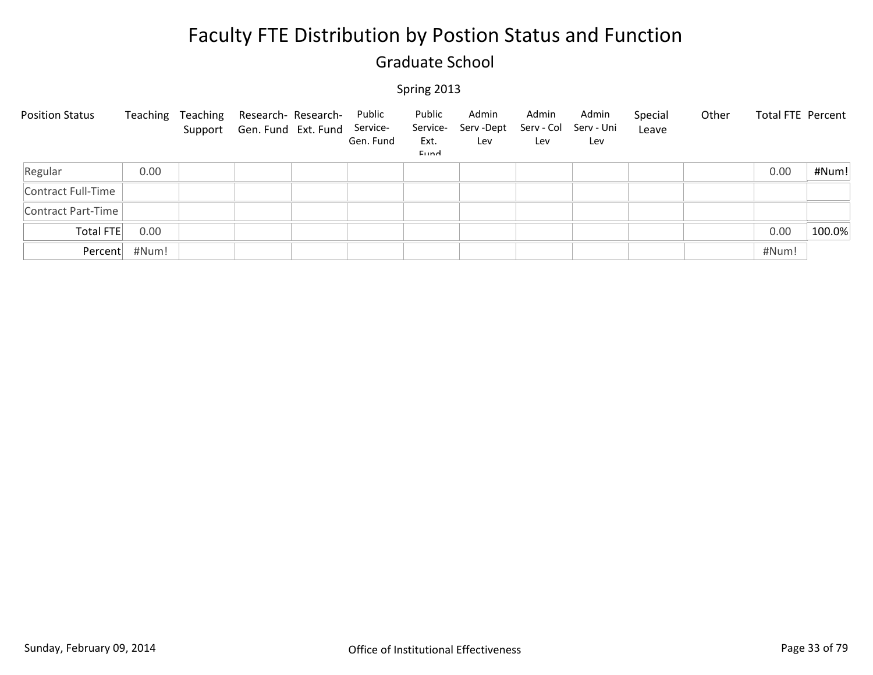### Graduate School

| <b>Position Status</b> |       | Teaching Teaching Research-Research-<br>Support Gen. Fund Ext. Fund Service- | Public<br>Gen. Fund | Public<br>Service-<br>Ext.<br>Eund | Admin<br>Serv -Dept<br>Lev | Admin<br>Serv - Col<br>Lev | Admin<br>Serv - Uni<br>Lev | Special<br>Leave | Other | Total FTE Percent |        |
|------------------------|-------|------------------------------------------------------------------------------|---------------------|------------------------------------|----------------------------|----------------------------|----------------------------|------------------|-------|-------------------|--------|
| Regular                | 0.00  |                                                                              |                     |                                    |                            |                            |                            |                  |       | 0.00              | #Num!  |
| Contract Full-Time     |       |                                                                              |                     |                                    |                            |                            |                            |                  |       |                   |        |
| Contract Part-Time     |       |                                                                              |                     |                                    |                            |                            |                            |                  |       |                   |        |
| Total FTE              | 0.00  |                                                                              |                     |                                    |                            |                            |                            |                  |       | 0.00              | 100.0% |
| Percent                | #Num! |                                                                              |                     |                                    |                            |                            |                            |                  |       | #Num!             |        |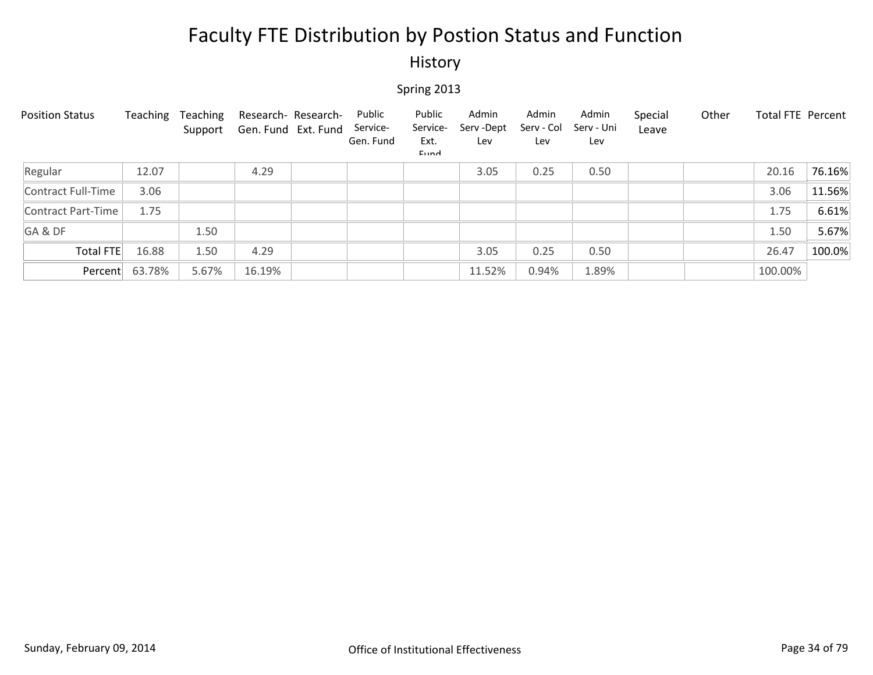### History

| <b>Position Status</b> | Teaching | Teaching<br>Support | Research- Research-<br>Gen. Fund Ext. Fund | Public<br>Service-<br>Gen. Fund | Public<br>Service-<br>Ext.<br>Eund | Admin<br>Serv -Dept<br>Lev | Admin<br>Serv - Col<br>Lev | Admin<br>Serv - Uni<br>Lev | Special<br>Leave | Other | Total FTE Percent |        |
|------------------------|----------|---------------------|--------------------------------------------|---------------------------------|------------------------------------|----------------------------|----------------------------|----------------------------|------------------|-------|-------------------|--------|
| Regular                | 12.07    |                     | 4.29                                       |                                 |                                    | 3.05                       | 0.25                       | 0.50                       |                  |       | 20.16             | 76.16% |
| Contract Full-Time     | 3.06     |                     |                                            |                                 |                                    |                            |                            |                            |                  |       | 3.06              | 11.56% |
| Contract Part-Time     | 1.75     |                     |                                            |                                 |                                    |                            |                            |                            |                  |       | 1.75              | 6.61%  |
| GA&DF                  |          | 1.50                |                                            |                                 |                                    |                            |                            |                            |                  |       | 1.50              | 5.67%  |
| <b>Total FTE</b>       | 16.88    | 1.50                | 4.29                                       |                                 |                                    | 3.05                       | 0.25                       | 0.50                       |                  |       | 26.47             | 100.0% |
| Percent                | 63.78%   | 5.67%               | 16.19%                                     |                                 |                                    | 11.52%                     | 0.94%                      | 1.89%                      |                  |       | 100.00%           |        |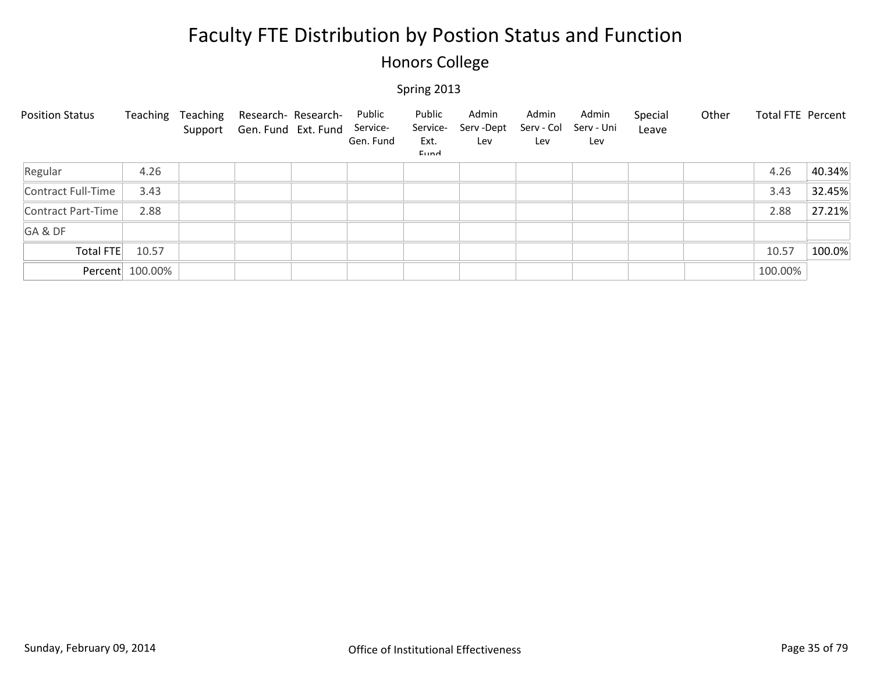### Honors College

| <b>Position Status</b> |                 | Teaching Teaching | Research- Research-<br>Support Gen. Fund Ext. Fund | Public<br>Service-<br>Gen. Fund | Public<br>Service-<br>Ext.<br>Eund | Admin<br>Serv -Dept<br>Lev | Admin<br>Serv - Col<br>Lev | Admin<br>Serv - Uni<br>Lev | Special<br>Leave | Other | Total FTE Percent |        |
|------------------------|-----------------|-------------------|----------------------------------------------------|---------------------------------|------------------------------------|----------------------------|----------------------------|----------------------------|------------------|-------|-------------------|--------|
| Regular                | 4.26            |                   |                                                    |                                 |                                    |                            |                            |                            |                  |       | 4.26              | 40.34% |
| Contract Full-Time     | 3.43            |                   |                                                    |                                 |                                    |                            |                            |                            |                  |       | 3.43              | 32.45% |
| Contract Part-Time     | 2.88            |                   |                                                    |                                 |                                    |                            |                            |                            |                  |       | 2.88              | 27.21% |
| GA&DF                  |                 |                   |                                                    |                                 |                                    |                            |                            |                            |                  |       |                   |        |
| Total FTE              | 10.57           |                   |                                                    |                                 |                                    |                            |                            |                            |                  |       | 10.57             | 100.0% |
|                        | Percent 100.00% |                   |                                                    |                                 |                                    |                            |                            |                            |                  |       | 100.00%           |        |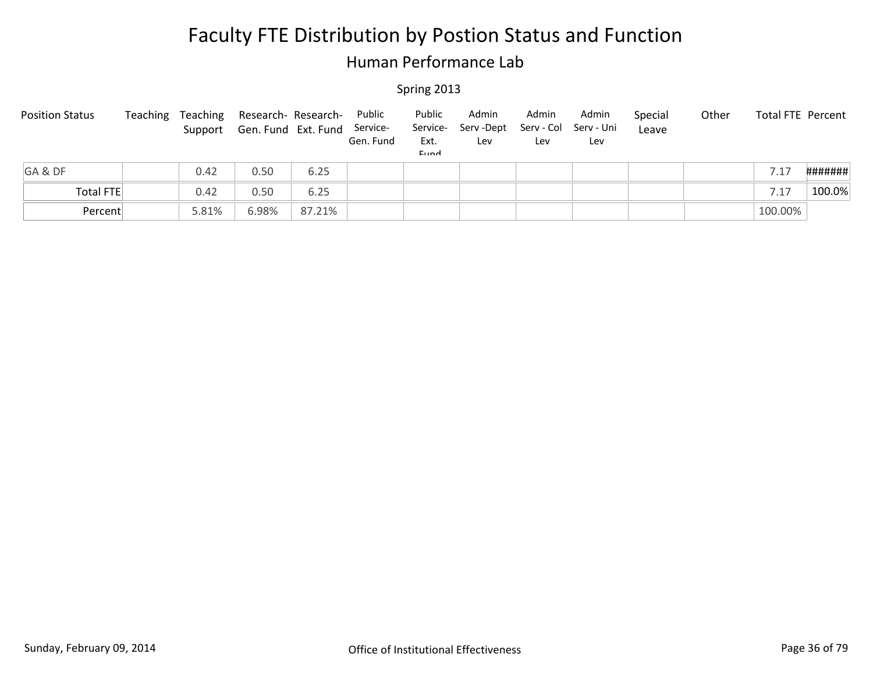### Human Performance Lab

| <b>Position Status</b> | Teaching | Teaching<br>Support | Research- Research-<br>Gen. Fund Ext. Fund Service- |        | Public<br>Gen. Fund | Public<br>Ext.<br>Eund | Admin<br>Service- Serv-Dept<br>Lev | Admin<br>Lev | Admin<br>Serv - Col Serv - Uni<br>Lev | Special<br>Leave | Other | <b>Total FTE Percent</b> |         |
|------------------------|----------|---------------------|-----------------------------------------------------|--------|---------------------|------------------------|------------------------------------|--------------|---------------------------------------|------------------|-------|--------------------------|---------|
| GA&DF                  |          | 0.42                | 0.50                                                | 6.25   |                     |                        |                                    |              |                                       |                  |       | 7.17                     | ####### |
| <b>Total FTE</b>       |          | 0.42                | 0.50                                                | 6.25   |                     |                        |                                    |              |                                       |                  |       | 7.17                     | 100.0%  |
| Percent                |          | 5.81%               | 6.98%                                               | 87.21% |                     |                        |                                    |              |                                       |                  |       | 100.00%                  |         |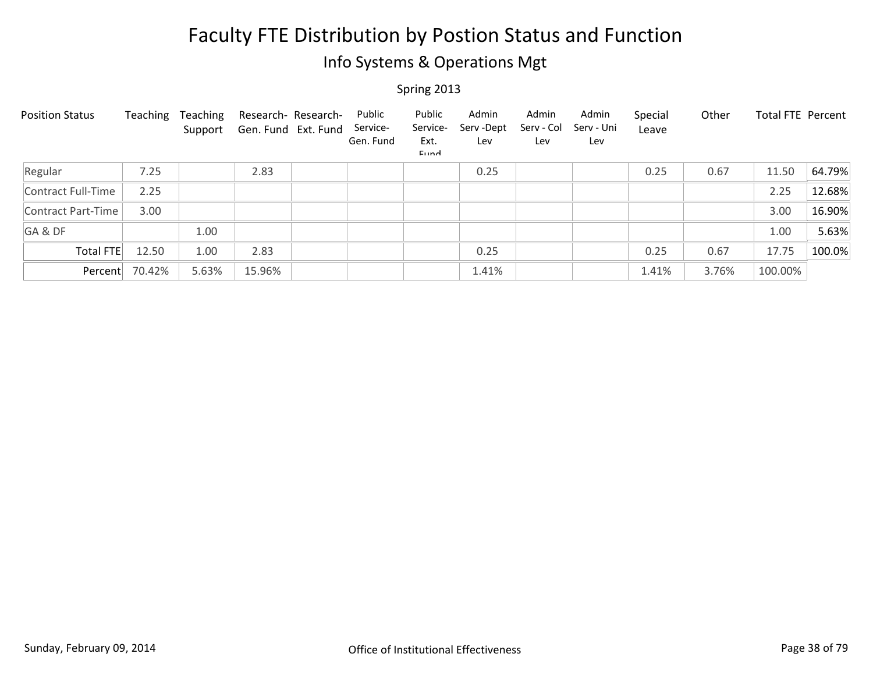### Info Systems & Operations Mgt

| <b>Position Status</b> | Teaching | Teaching<br>Support | Research- Research-<br>Gen. Fund Ext. Fund | Public<br>Service-<br>Gen. Fund | Public<br>Service-<br>Ext.<br>Eund | Admin<br>Serv-Dept<br>Lev | Admin<br>Serv - Col<br>Lev | Admin<br>Serv - Uni<br>Lev | Special<br>Leave | Other | Total FTE Percent |        |
|------------------------|----------|---------------------|--------------------------------------------|---------------------------------|------------------------------------|---------------------------|----------------------------|----------------------------|------------------|-------|-------------------|--------|
| Regular                | 7.25     |                     | 2.83                                       |                                 |                                    | 0.25                      |                            |                            | 0.25             | 0.67  | 11.50             | 64.79% |
| Contract Full-Time     | 2.25     |                     |                                            |                                 |                                    |                           |                            |                            |                  |       | 2.25              | 12.68% |
| Contract Part-Time     | 3.00     |                     |                                            |                                 |                                    |                           |                            |                            |                  |       | 3.00              | 16.90% |
| GA&DF                  |          | 1.00                |                                            |                                 |                                    |                           |                            |                            |                  |       | 1.00              | 5.63%  |
| Total FTE              | 12.50    | 1.00                | 2.83                                       |                                 |                                    | 0.25                      |                            |                            | 0.25             | 0.67  | 17.75             | 100.0% |
| Percent                | 70.42%   | 5.63%               | 15.96%                                     |                                 |                                    | 1.41%                     |                            |                            | 1.41%            | 3.76% | 100.00%           |        |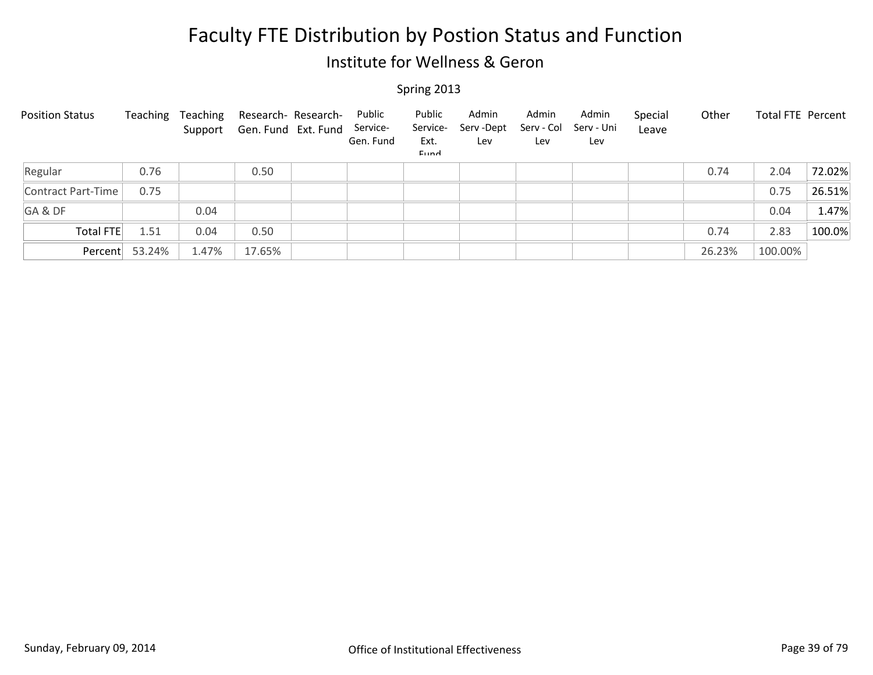### Institute for Wellness & Geron

| <b>Position Status</b> | Teaching | Teaching | Research- Research-<br>Support Gen. Fund Ext. Fund | Public<br>Service-<br>Gen. Fund | Public<br>Service-<br>Ext.<br>Eund | Admin<br>Serv-Dept<br>Lev | Admin<br>Serv - Col<br>Lev | Admin<br>Serv - Uni<br>Lev | Special<br>Leave | Other  | Total FTE Percent |        |
|------------------------|----------|----------|----------------------------------------------------|---------------------------------|------------------------------------|---------------------------|----------------------------|----------------------------|------------------|--------|-------------------|--------|
| Regular                | 0.76     |          | 0.50                                               |                                 |                                    |                           |                            |                            |                  | 0.74   | 2.04              | 72.02% |
| Contract Part-Time     | 0.75     |          |                                                    |                                 |                                    |                           |                            |                            |                  |        | 0.75              | 26.51% |
| GA&DF                  |          | 0.04     |                                                    |                                 |                                    |                           |                            |                            |                  |        | 0.04              | 1.47%  |
| <b>Total FTE</b>       | 1.51     | 0.04     | 0.50                                               |                                 |                                    |                           |                            |                            |                  | 0.74   | 2.83              | 100.0% |
| Percent                | 53.24%   | 1.47%    | 17.65%                                             |                                 |                                    |                           |                            |                            |                  | 26.23% | 100.00%           |        |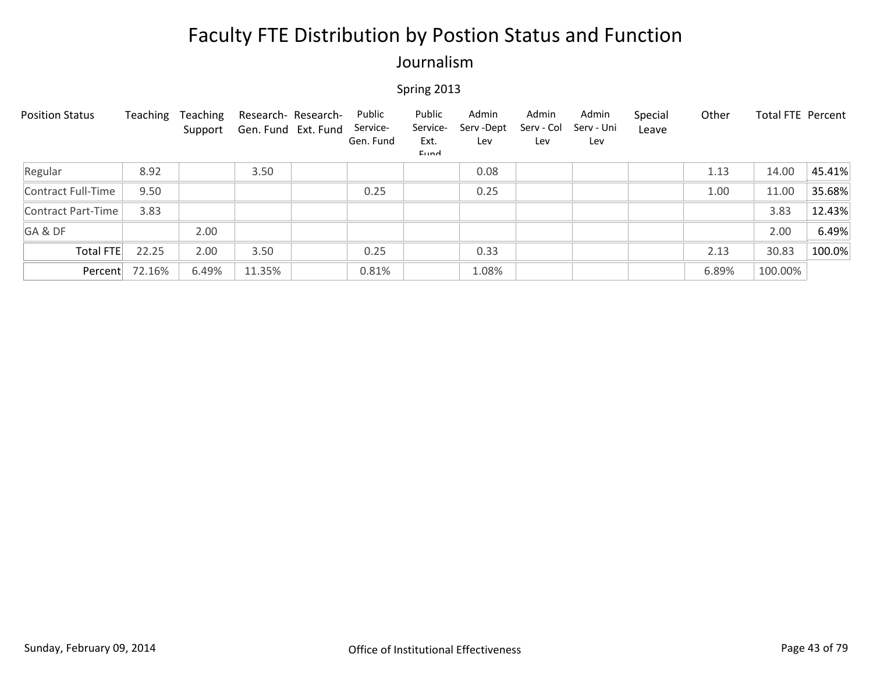### Journalism

| <b>Position Status</b> | Teaching | Teaching<br>Support | Research- Research-<br>Gen. Fund Ext. Fund | Public<br>Service-<br>Gen. Fund | Public<br>Service-<br>Ext.<br>Eund | Admin<br>Serv - Dept<br>Lev | Admin<br>Serv - Col<br>Lev | Admin<br>Serv - Uni<br>Lev | Special<br>Leave | Other | Total FTE Percent |        |
|------------------------|----------|---------------------|--------------------------------------------|---------------------------------|------------------------------------|-----------------------------|----------------------------|----------------------------|------------------|-------|-------------------|--------|
| Regular                | 8.92     |                     | 3.50                                       |                                 |                                    | 0.08                        |                            |                            |                  | 1.13  | 14.00             | 45.41% |
| Contract Full-Time     | 9.50     |                     |                                            | 0.25                            |                                    | 0.25                        |                            |                            |                  | 1.00  | 11.00             | 35.68% |
| Contract Part-Time     | 3.83     |                     |                                            |                                 |                                    |                             |                            |                            |                  |       | 3.83              | 12.43% |
| GA&DF                  |          | 2.00                |                                            |                                 |                                    |                             |                            |                            |                  |       | 2.00              | 6.49%  |
| <b>Total FTE</b>       | 22.25    | 2.00                | 3.50                                       | 0.25                            |                                    | 0.33                        |                            |                            |                  | 2.13  | 30.83             | 100.0% |
| Percent                | 72.16%   | 6.49%               | 11.35%                                     | 0.81%                           |                                    | 1.08%                       |                            |                            |                  | 6.89% | 100.00%           |        |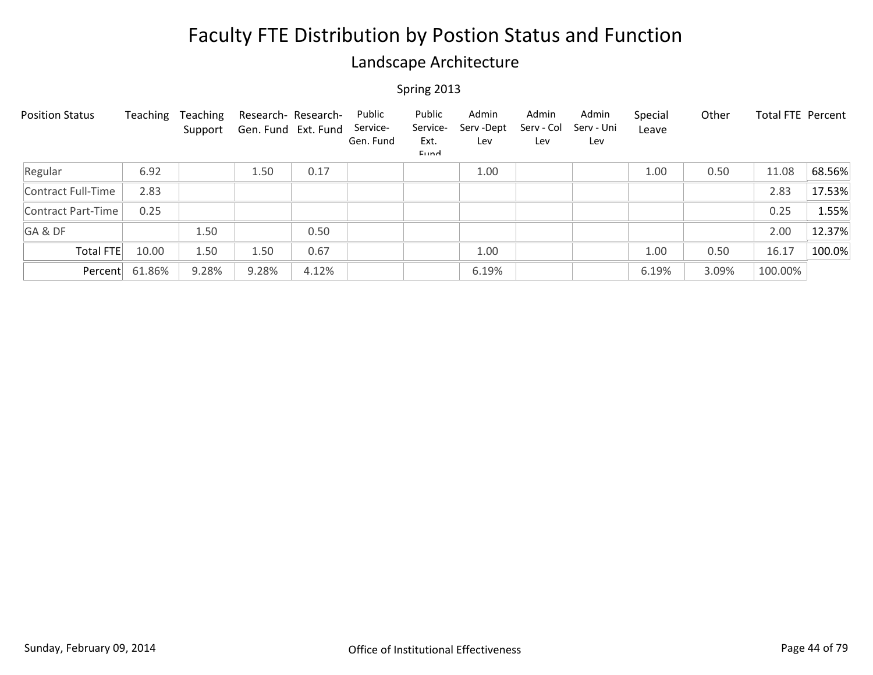### Landscape Architecture

| <b>Position Status</b>    | Teaching | Teaching<br>Support | Research- Research-<br>Gen. Fund Ext. Fund |       | Public<br>Service-<br>Gen. Fund | Public<br>Service-<br>Ext.<br>Eund | Admin<br>Serv-Dept<br>Lev | Admin<br>Serv - Col<br>Lev | Admin<br>Serv - Uni<br>Lev | Special<br>Leave | Other | <b>Total FTE Percent</b> |        |
|---------------------------|----------|---------------------|--------------------------------------------|-------|---------------------------------|------------------------------------|---------------------------|----------------------------|----------------------------|------------------|-------|--------------------------|--------|
| Regular                   | 6.92     |                     | 1.50                                       | 0.17  |                                 |                                    | 1.00                      |                            |                            | 1.00             | 0.50  | 11.08                    | 68.56% |
| Contract Full-Time        | 2.83     |                     |                                            |       |                                 |                                    |                           |                            |                            |                  |       | 2.83                     | 17.53% |
| <b>Contract Part-Time</b> | 0.25     |                     |                                            |       |                                 |                                    |                           |                            |                            |                  |       | 0.25                     | 1.55%  |
| GA&DF                     |          | 1.50                |                                            | 0.50  |                                 |                                    |                           |                            |                            |                  |       | 2.00                     | 12.37% |
| Total FTE                 | 10.00    | 1.50                | 1.50                                       | 0.67  |                                 |                                    | 1.00                      |                            |                            | 1.00             | 0.50  | 16.17                    | 100.0% |
| Percent                   | 61.86%   | 9.28%               | 9.28%                                      | 4.12% |                                 |                                    | 6.19%                     |                            |                            | 6.19%            | 3.09% | 100.00%                  |        |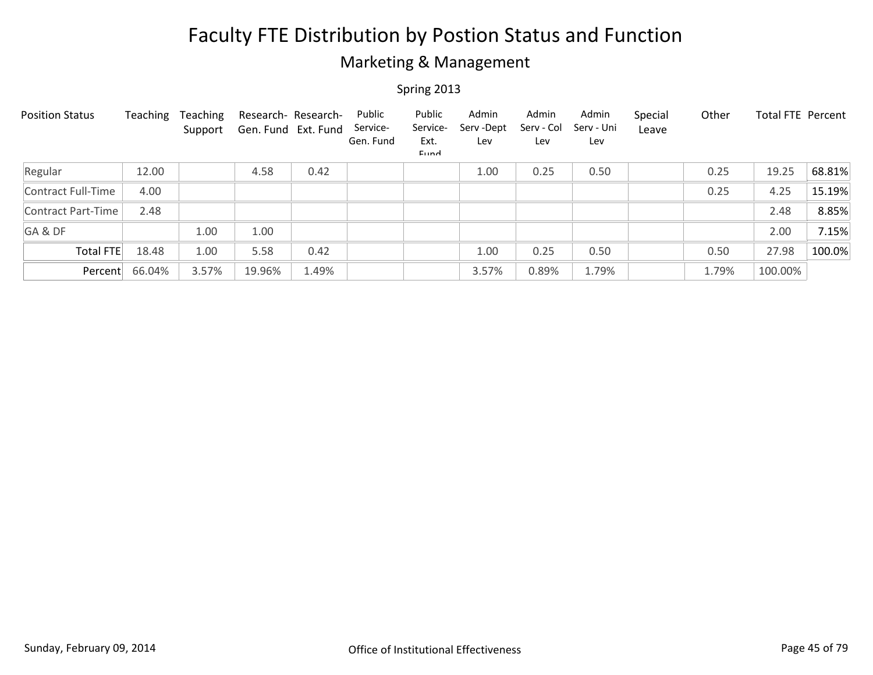### Marketing & Management

| <b>Position Status</b> | Teaching | Teaching<br>Support | Research- Research-<br>Gen. Fund Ext. Fund |       | Public<br>Service-<br>Gen. Fund | Public<br>Service-<br>Ext.<br>Eund | Admin<br>Serv-Dept<br>Lev | Admin<br>Serv - Col<br>Lev | Admin<br>Serv - Uni<br>Lev | Special<br>Leave | Other | Total FTE Percent |        |
|------------------------|----------|---------------------|--------------------------------------------|-------|---------------------------------|------------------------------------|---------------------------|----------------------------|----------------------------|------------------|-------|-------------------|--------|
| Regular                | 12.00    |                     | 4.58                                       | 0.42  |                                 |                                    | 1.00                      | 0.25                       | 0.50                       |                  | 0.25  | 19.25             | 68.81% |
| Contract Full-Time     | 4.00     |                     |                                            |       |                                 |                                    |                           |                            |                            |                  | 0.25  | 4.25              | 15.19% |
| Contract Part-Time     | 2.48     |                     |                                            |       |                                 |                                    |                           |                            |                            |                  |       | 2.48              | 8.85%  |
| GA&DF                  |          | 1.00                | 1.00                                       |       |                                 |                                    |                           |                            |                            |                  |       | 2.00              | 7.15%  |
| Total FTE              | 18.48    | 1.00                | 5.58                                       | 0.42  |                                 |                                    | 1.00                      | 0.25                       | 0.50                       |                  | 0.50  | 27.98             | 100.0% |
| Percent                | 66.04%   | 3.57%               | 19.96%                                     | 1.49% |                                 |                                    | 3.57%                     | 0.89%                      | 1.79%                      |                  | 1.79% | 100.00%           |        |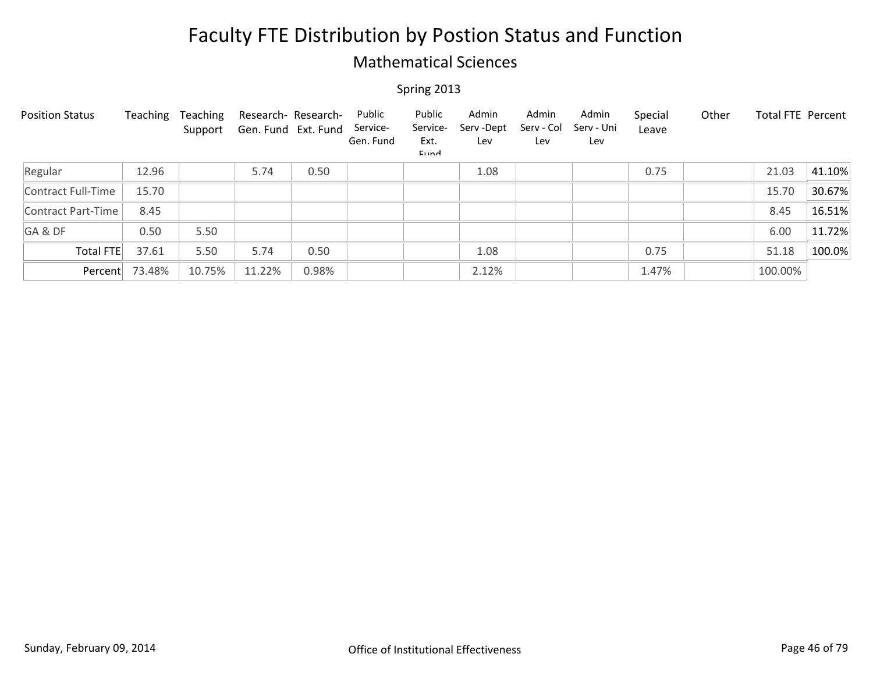### Mathematical Sciences

| <b>Position Status</b> | Teaching | Teaching<br>Support | Research- Research-<br>Gen. Fund Ext. Fund |       | Public<br>Service-<br>Gen. Fund | Public<br>Service-<br>Ext.<br>Eund | Admin<br>Serv-Dept<br>Lev | Admin<br>Serv - Col<br>Lev | Admin<br>Serv - Uni<br>Lev | Special<br>Leave | Other | Total FTE Percent |        |
|------------------------|----------|---------------------|--------------------------------------------|-------|---------------------------------|------------------------------------|---------------------------|----------------------------|----------------------------|------------------|-------|-------------------|--------|
| Regular                | 12.96    |                     | 5.74                                       | 0.50  |                                 |                                    | 1.08                      |                            |                            | 0.75             |       | 21.03             | 41.10% |
| Contract Full-Time     | 15.70    |                     |                                            |       |                                 |                                    |                           |                            |                            |                  |       | 15.70             | 30.67% |
| Contract Part-Time     | 8.45     |                     |                                            |       |                                 |                                    |                           |                            |                            |                  |       | 8.45              | 16.51% |
| GA&DF                  | 0.50     | 5.50                |                                            |       |                                 |                                    |                           |                            |                            |                  |       | 6.00              | 11.72% |
| <b>Total FTE</b>       | 37.61    | 5.50                | 5.74                                       | 0.50  |                                 |                                    | 1.08                      |                            |                            | 0.75             |       | 51.18             | 100.0% |
| Percent                | 73.48%   | 10.75%              | 11.22%                                     | 0.98% |                                 |                                    | 2.12%                     |                            |                            | 1.47%            |       | 100.00%           |        |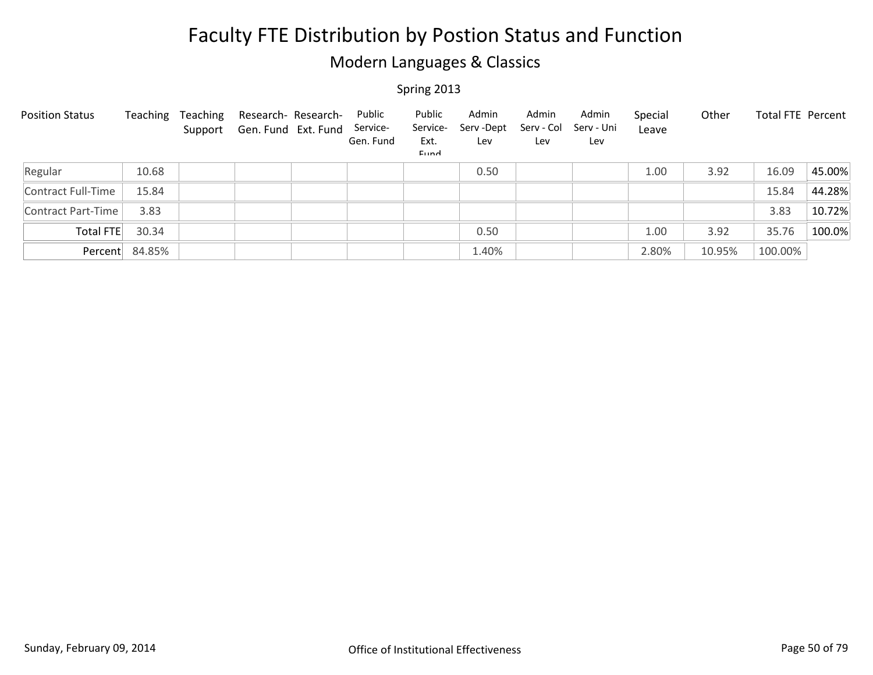### Modern Languages & Classics

| <b>Position Status</b> | Teaching       | Teaching | Research- Research-<br>Support Gen. Fund Ext. Fund | Public<br>Service-<br>Gen. Fund | Public<br>Service-<br>Ext.<br><b>Fund</b> | Admin<br>Serv-Dept<br>Lev | Admin<br>Serv - Col<br>Lev | Admin<br>Serv - Uni<br>Lev | Special<br>Leave | Other  | Total FTE Percent |        |
|------------------------|----------------|----------|----------------------------------------------------|---------------------------------|-------------------------------------------|---------------------------|----------------------------|----------------------------|------------------|--------|-------------------|--------|
| Regular                | 10.68          |          |                                                    |                                 |                                           | 0.50                      |                            |                            | 1.00             | 3.92   | 16.09             | 45.00% |
| Contract Full-Time     | 15.84          |          |                                                    |                                 |                                           |                           |                            |                            |                  |        | 15.84             | 44.28% |
| Contract Part-Time     | 3.83           |          |                                                    |                                 |                                           |                           |                            |                            |                  |        | 3.83              | 10.72% |
| Total FTE              | 30.34          |          |                                                    |                                 |                                           | 0.50                      |                            |                            | 1.00             | 3.92   | 35.76             | 100.0% |
|                        | Percent 84.85% |          |                                                    |                                 |                                           | 1.40%                     |                            |                            | 2.80%            | 10.95% | 100.00%           |        |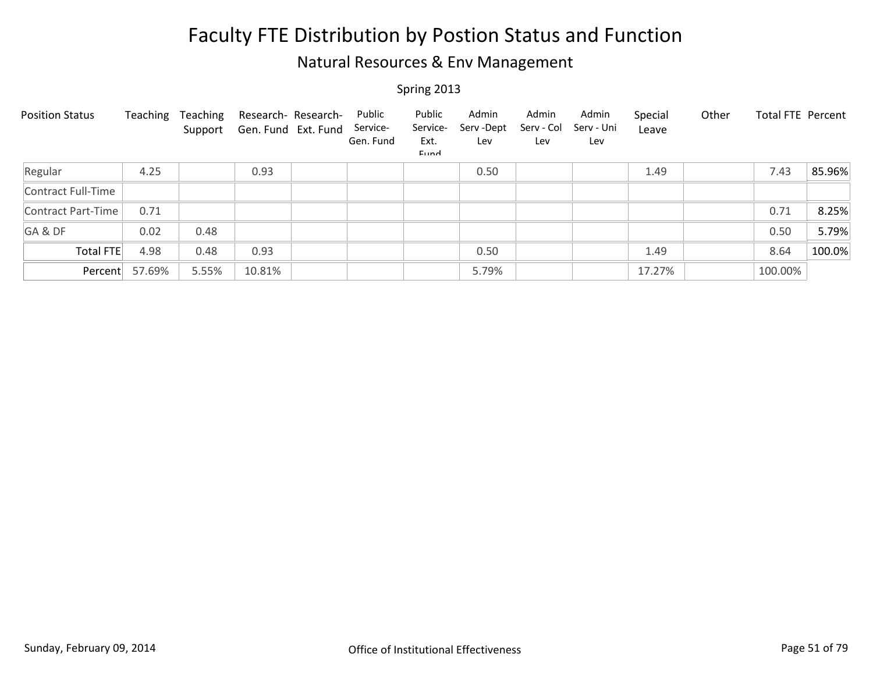### Natural Resources & Env Management

| <b>Position Status</b> | Teaching | Teaching<br>Support | Research- Research-<br>Gen. Fund Ext. Fund | Public<br>Service-<br>Gen. Fund | Public<br>Service-<br>Ext.<br>Eund | Admin<br>Serv - Dept<br>Lev | Admin<br>Serv - Col<br>Lev | Admin<br>Serv - Uni<br>Lev | Special<br>Leave | Other | Total FTE Percent |        |
|------------------------|----------|---------------------|--------------------------------------------|---------------------------------|------------------------------------|-----------------------------|----------------------------|----------------------------|------------------|-------|-------------------|--------|
| Regular                | 4.25     |                     | 0.93                                       |                                 |                                    | 0.50                        |                            |                            | 1.49             |       | 7.43              | 85.96% |
| Contract Full-Time     |          |                     |                                            |                                 |                                    |                             |                            |                            |                  |       |                   |        |
| Contract Part-Time     | 0.71     |                     |                                            |                                 |                                    |                             |                            |                            |                  |       | 0.71              | 8.25%  |
| GA&DF                  | 0.02     | 0.48                |                                            |                                 |                                    |                             |                            |                            |                  |       | 0.50              | 5.79%  |
| Total FTE              | 4.98     | 0.48                | 0.93                                       |                                 |                                    | 0.50                        |                            |                            | 1.49             |       | 8.64              | 100.0% |
| Percent                | 57.69%   | 5.55%               | 10.81%                                     |                                 |                                    | 5.79%                       |                            |                            | 17.27%           |       | 100.00%           |        |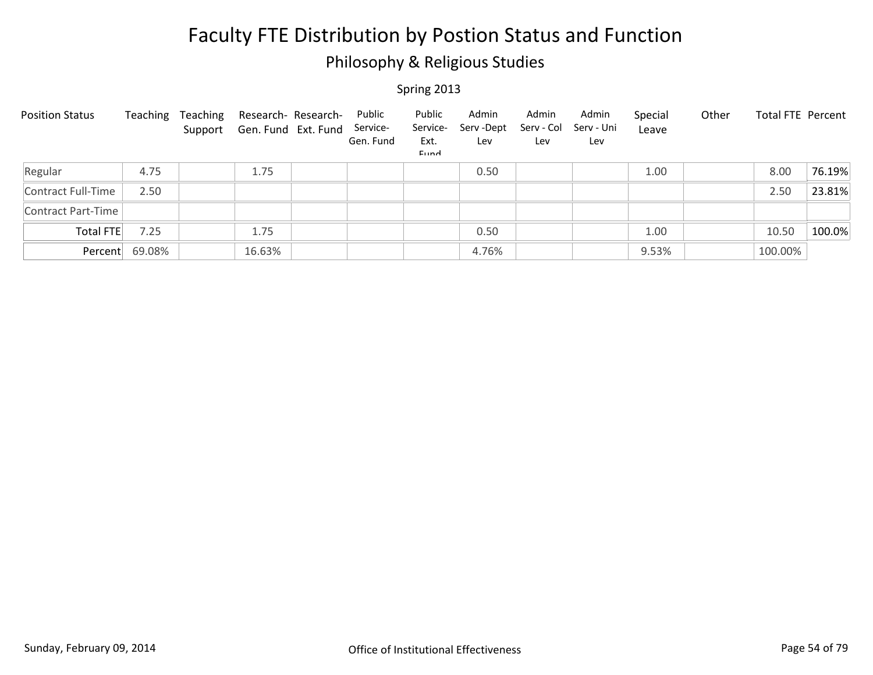### Philosophy & Religious Studies

| <b>Position Status</b> | Teaching | Teaching | Research- Research-<br>Support Gen. Fund Ext. Fund | Public<br>Service-<br>Gen. Fund | Public<br>Service-<br>Ext.<br>Eund | Admin<br>Serv-Dept<br>Lev | Admin<br>Serv - Col<br>Lev | Admin<br>Serv - Uni<br>Lev | Special<br>Leave | Other | Total FTE Percent |        |
|------------------------|----------|----------|----------------------------------------------------|---------------------------------|------------------------------------|---------------------------|----------------------------|----------------------------|------------------|-------|-------------------|--------|
| Regular                | 4.75     |          | 1.75                                               |                                 |                                    | 0.50                      |                            |                            | 1.00             |       | 8.00              | 76.19% |
| Contract Full-Time     | 2.50     |          |                                                    |                                 |                                    |                           |                            |                            |                  |       | 2.50              | 23.81% |
| Contract Part-Time     |          |          |                                                    |                                 |                                    |                           |                            |                            |                  |       |                   |        |
| Total FTE              | 7.25     |          | 1.75                                               |                                 |                                    | 0.50                      |                            |                            | 1.00             |       | 10.50             | 100.0% |
| Percent                | 69.08%   |          | 16.63%                                             |                                 |                                    | 4.76%                     |                            |                            | 9.53%            |       | 100.00%           |        |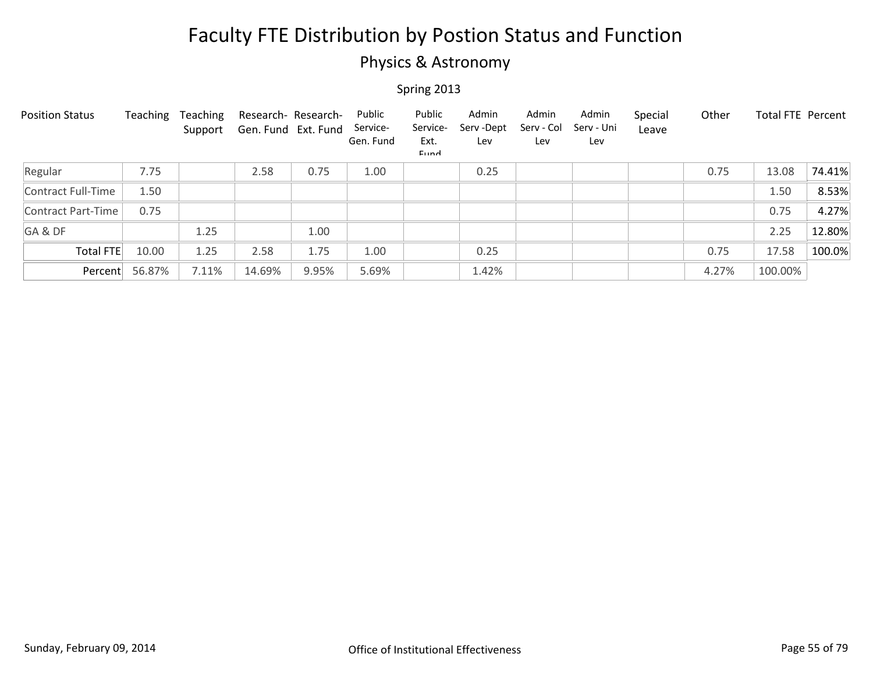### Physics & Astronomy

| <b>Position Status</b> | Teaching | Teaching<br>Support | Research- Research-<br>Gen. Fund Ext. Fund |       | Public<br>Service-<br>Gen. Fund | Public<br>Service-<br>Ext.<br>Eund | Admin<br>Serv-Dept<br>Lev | Admin<br>Serv - Col<br>Lev | Admin<br>Serv - Uni<br>Lev | Special<br>Leave | Other | <b>Total FTE Percent</b> |        |
|------------------------|----------|---------------------|--------------------------------------------|-------|---------------------------------|------------------------------------|---------------------------|----------------------------|----------------------------|------------------|-------|--------------------------|--------|
| Regular                | 7.75     |                     | 2.58                                       | 0.75  | 1.00                            |                                    | 0.25                      |                            |                            |                  | 0.75  | 13.08                    | 74.41% |
| Contract Full-Time     | 1.50     |                     |                                            |       |                                 |                                    |                           |                            |                            |                  |       | 1.50                     | 8.53%  |
| Contract Part-Time     | 0.75     |                     |                                            |       |                                 |                                    |                           |                            |                            |                  |       | 0.75                     | 4.27%  |
| GA&DF                  |          | 1.25                |                                            | 1.00  |                                 |                                    |                           |                            |                            |                  |       | 2.25                     | 12.80% |
| Total FTE              | 10.00    | 1.25                | 2.58                                       | 1.75  | 1.00                            |                                    | 0.25                      |                            |                            |                  | 0.75  | 17.58                    | 100.0% |
| Percent                | 56.87%   | 7.11%               | 14.69%                                     | 9.95% | 5.69%                           |                                    | 1.42%                     |                            |                            |                  | 4.27% | 100.00%                  |        |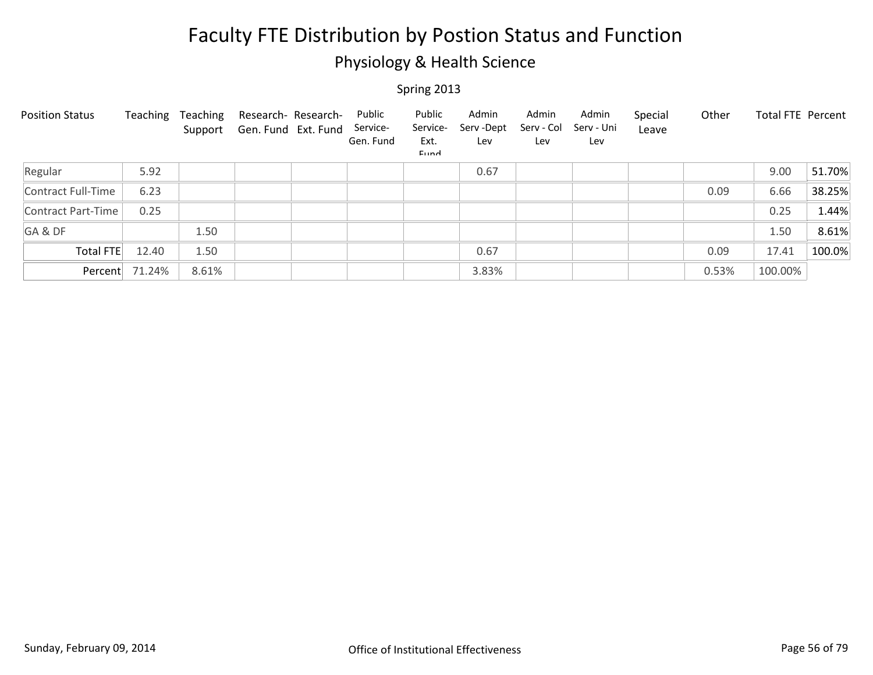### Physiology & Health Science

| <b>Position Status</b> | Teaching | Teaching<br>Support | Research- Research-<br>Gen. Fund Ext. Fund | Public<br>Service-<br>Gen. Fund | Public<br>Service-<br>Ext.<br>Eund | Admin<br>Serv-Dept<br>Lev | Admin<br>Serv - Col<br>Lev | Admin<br>Serv - Uni<br>Lev | Special<br>Leave | Other | Total FTE Percent |        |
|------------------------|----------|---------------------|--------------------------------------------|---------------------------------|------------------------------------|---------------------------|----------------------------|----------------------------|------------------|-------|-------------------|--------|
| Regular                | 5.92     |                     |                                            |                                 |                                    | 0.67                      |                            |                            |                  |       | 9.00              | 51.70% |
| Contract Full-Time     | 6.23     |                     |                                            |                                 |                                    |                           |                            |                            |                  | 0.09  | 6.66              | 38.25% |
| Contract Part-Time     | 0.25     |                     |                                            |                                 |                                    |                           |                            |                            |                  |       | 0.25              | 1.44%  |
| GA&DF                  |          | 1.50                |                                            |                                 |                                    |                           |                            |                            |                  |       | 1.50              | 8.61%  |
| Total FTE              | 12.40    | 1.50                |                                            |                                 |                                    | 0.67                      |                            |                            |                  | 0.09  | 17.41             | 100.0% |
| Percent                | 71.24%   | 8.61%               |                                            |                                 |                                    | 3.83%                     |                            |                            |                  | 0.53% | 100.00%           |        |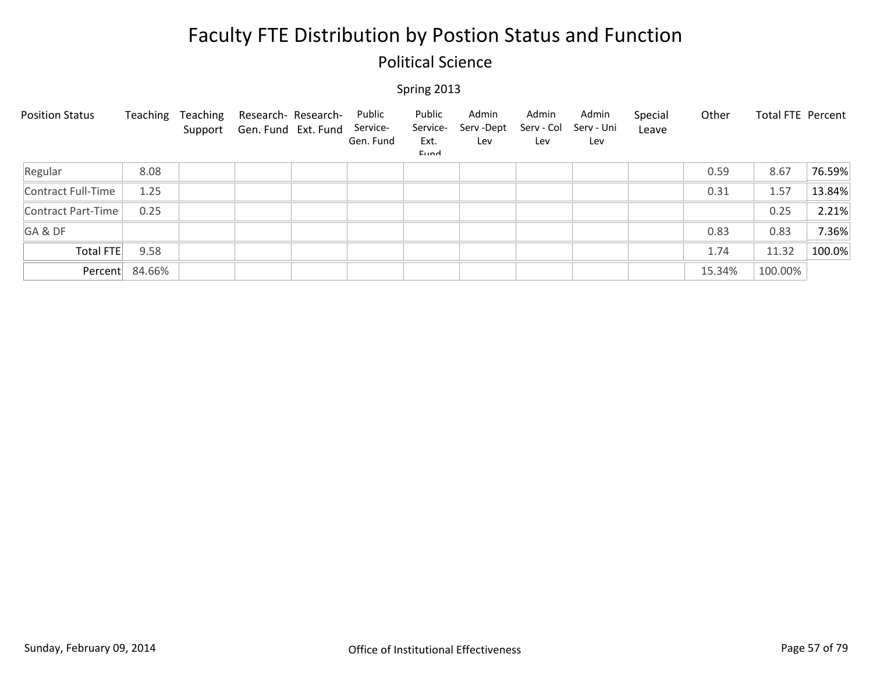### Political Science

| <b>Position Status</b> | Teaching | Teaching<br>Support | Research- Research-<br>Gen. Fund Ext. Fund | Public<br>Service-<br>Gen. Fund | Public<br>Service-<br>Ext.<br>Eund | Admin<br>Serv-Dept<br>Lev | Admin<br>Serv - Col<br>Lev | Admin<br>Serv - Uni<br>Lev | Special<br>Leave | Other  | Total FTE Percent |        |
|------------------------|----------|---------------------|--------------------------------------------|---------------------------------|------------------------------------|---------------------------|----------------------------|----------------------------|------------------|--------|-------------------|--------|
| Regular                | 8.08     |                     |                                            |                                 |                                    |                           |                            |                            |                  | 0.59   | 8.67              | 76.59% |
| Contract Full-Time     | 1.25     |                     |                                            |                                 |                                    |                           |                            |                            |                  | 0.31   | 1.57              | 13.84% |
| Contract Part-Time     | 0.25     |                     |                                            |                                 |                                    |                           |                            |                            |                  |        | 0.25              | 2.21%  |
| GA&DF                  |          |                     |                                            |                                 |                                    |                           |                            |                            |                  | 0.83   | 0.83              | 7.36%  |
| Total FTE              | 9.58     |                     |                                            |                                 |                                    |                           |                            |                            |                  | 1.74   | 11.32             | 100.0% |
| Percent                | 84.66%   |                     |                                            |                                 |                                    |                           |                            |                            |                  | 15.34% | 100.00%           |        |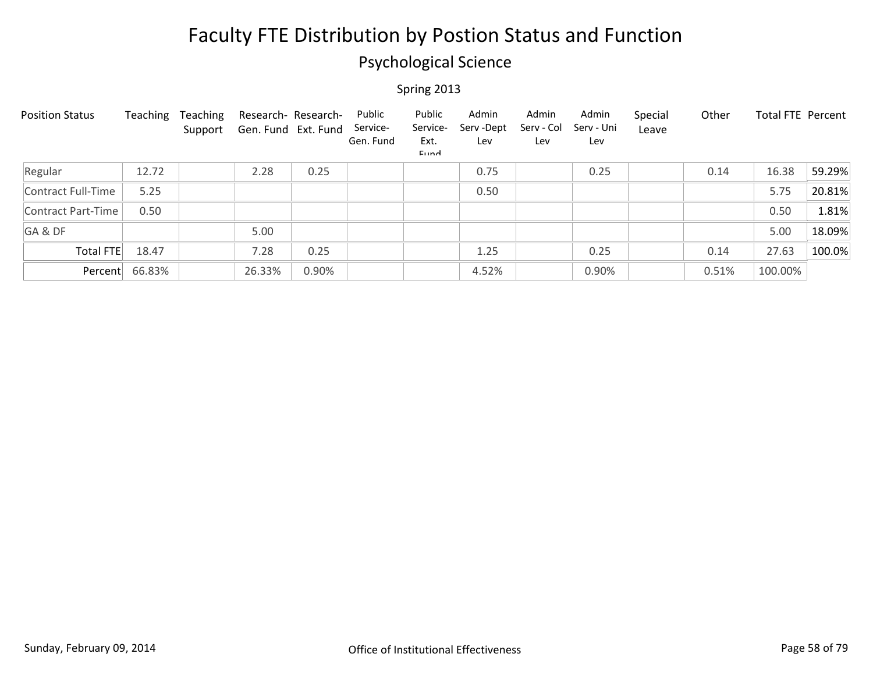### Psychological Science

| <b>Position Status</b> | Teaching | Teaching<br>Support | Research- Research-<br>Gen. Fund Ext. Fund |       | Public<br>Service-<br>Gen. Fund | Public<br>Service-<br>Ext.<br>Eund | Admin<br>Serv-Dept<br>Lev | Admin<br>Serv - Col<br>Lev | Admin<br>Serv - Uni<br>Lev | Special<br>Leave | Other | Total FTE Percent |        |
|------------------------|----------|---------------------|--------------------------------------------|-------|---------------------------------|------------------------------------|---------------------------|----------------------------|----------------------------|------------------|-------|-------------------|--------|
| Regular                | 12.72    |                     | 2.28                                       | 0.25  |                                 |                                    | 0.75                      |                            | 0.25                       |                  | 0.14  | 16.38             | 59.29% |
| Contract Full-Time     | 5.25     |                     |                                            |       |                                 |                                    | 0.50                      |                            |                            |                  |       | 5.75              | 20.81% |
| Contract Part-Time     | 0.50     |                     |                                            |       |                                 |                                    |                           |                            |                            |                  |       | 0.50              | 1.81%  |
| GA&DF                  |          |                     | 5.00                                       |       |                                 |                                    |                           |                            |                            |                  |       | 5.00              | 18.09% |
| Total FTE              | 18.47    |                     | 7.28                                       | 0.25  |                                 |                                    | 1.25                      |                            | 0.25                       |                  | 0.14  | 27.63             | 100.0% |
| Percent                | 66.83%   |                     | 26.33%                                     | 0.90% |                                 |                                    | 4.52%                     |                            | 0.90%                      |                  | 0.51% | 100.00%           |        |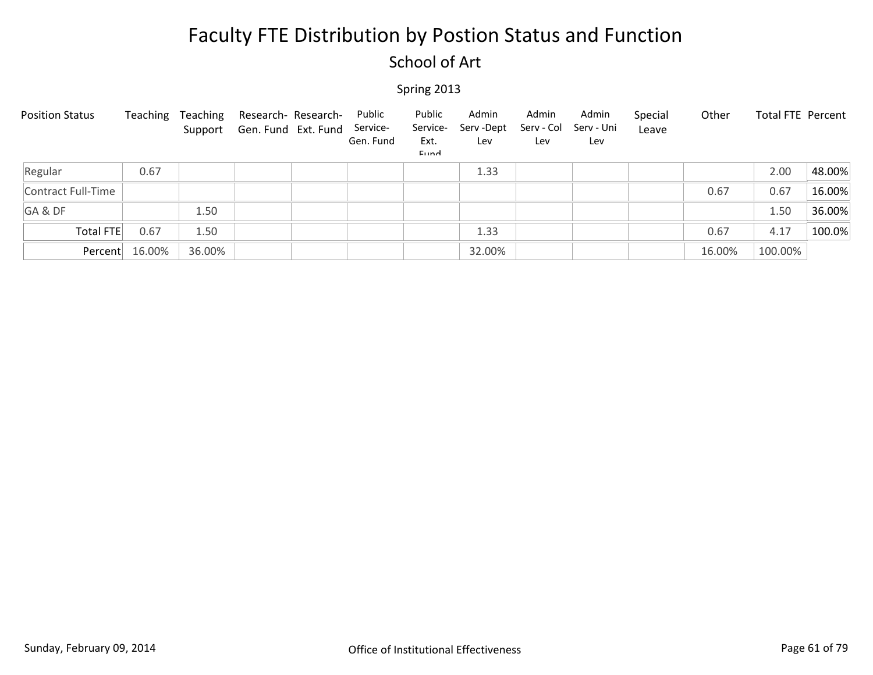### School of Art

| <b>Position Status</b> | Teaching | Teaching | Research- Research-<br>Support Gen. Fund Ext. Fund | Public<br>Service-<br>Gen. Fund | Public<br>Service-<br>Ext.<br>Eund | Admin<br>Serv-Dept<br>Lev | Admin<br>Serv - Col<br>Lev | Admin<br>Serv - Uni<br>Lev | Special<br>Leave | Other  | Total FTE Percent |        |
|------------------------|----------|----------|----------------------------------------------------|---------------------------------|------------------------------------|---------------------------|----------------------------|----------------------------|------------------|--------|-------------------|--------|
| Regular                | 0.67     |          |                                                    |                                 |                                    | 1.33                      |                            |                            |                  |        | 2.00              | 48.00% |
| Contract Full-Time     |          |          |                                                    |                                 |                                    |                           |                            |                            |                  | 0.67   | 0.67              | 16.00% |
| GA&DF                  |          | 1.50     |                                                    |                                 |                                    |                           |                            |                            |                  |        | 1.50              | 36.00% |
| <b>Total FTE</b>       | 0.67     | 1.50     |                                                    |                                 |                                    | 1.33                      |                            |                            |                  | 0.67   | 4.17              | 100.0% |
| Percent                | 16.00%   | 36.00%   |                                                    |                                 |                                    | 32.00%                    |                            |                            |                  | 16.00% | 100.00%           |        |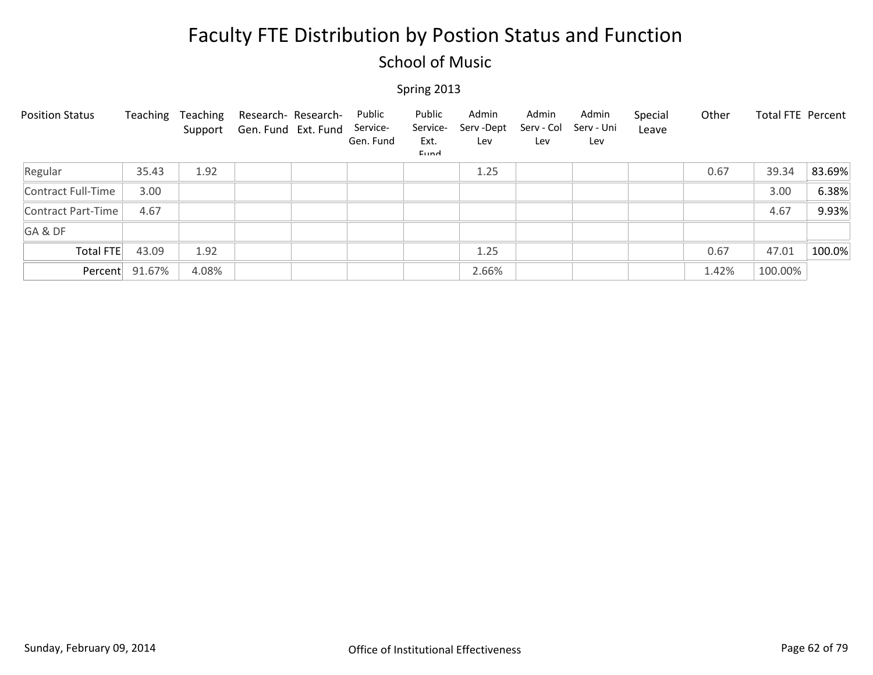### School of Music

| <b>Position Status</b> | Teaching       | Teaching<br>Support | Research- Research-<br>Gen. Fund Ext. Fund | Public<br>Service-<br>Gen. Fund | Public<br>Service-<br>Ext.<br>Eund | Admin<br>Serv-Dept<br>Lev | Admin<br>Serv - Col<br>Lev | Admin<br>Serv - Uni<br>Lev | Special<br>Leave | Other | Total FTE Percent |        |
|------------------------|----------------|---------------------|--------------------------------------------|---------------------------------|------------------------------------|---------------------------|----------------------------|----------------------------|------------------|-------|-------------------|--------|
| Regular                | 35.43          | 1.92                |                                            |                                 |                                    | 1.25                      |                            |                            |                  | 0.67  | 39.34             | 83.69% |
| Contract Full-Time     | 3.00           |                     |                                            |                                 |                                    |                           |                            |                            |                  |       | 3.00              | 6.38%  |
| Contract Part-Time     | 4.67           |                     |                                            |                                 |                                    |                           |                            |                            |                  |       | 4.67              | 9.93%  |
| GA&DF                  |                |                     |                                            |                                 |                                    |                           |                            |                            |                  |       |                   |        |
| Total FTE              | 43.09          | 1.92                |                                            |                                 |                                    | 1.25                      |                            |                            |                  | 0.67  | 47.01             | 100.0% |
|                        | Percent 91.67% | 4.08%               |                                            |                                 |                                    | 2.66%                     |                            |                            |                  | 1.42% | 100.00%           |        |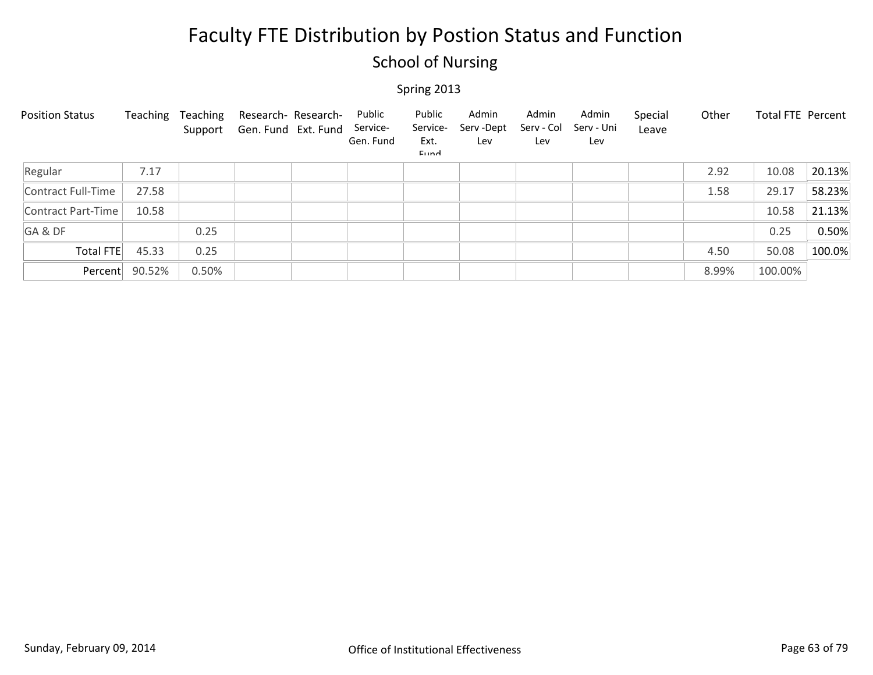### School of Nursing

| <b>Position Status</b> | Teaching       | Teaching<br>Support | Research- Research-<br>Gen. Fund Ext. Fund | Public<br>Service-<br>Gen. Fund | Public<br>Service-<br>Ext.<br>Eund | Admin<br>Serv -Dept<br>Lev | Admin<br>Serv - Col<br>Lev | Admin<br>Serv - Uni<br>Lev | Special<br>Leave | Other | Total FTE Percent |        |
|------------------------|----------------|---------------------|--------------------------------------------|---------------------------------|------------------------------------|----------------------------|----------------------------|----------------------------|------------------|-------|-------------------|--------|
| Regular                | 7.17           |                     |                                            |                                 |                                    |                            |                            |                            |                  | 2.92  | 10.08             | 20.13% |
| Contract Full-Time     | 27.58          |                     |                                            |                                 |                                    |                            |                            |                            |                  | 1.58  | 29.17             | 58.23% |
| Contract Part-Time     | 10.58          |                     |                                            |                                 |                                    |                            |                            |                            |                  |       | 10.58             | 21.13% |
| GA&DF                  |                | 0.25                |                                            |                                 |                                    |                            |                            |                            |                  |       | 0.25              | 0.50%  |
| <b>Total FTE</b>       | 45.33          | 0.25                |                                            |                                 |                                    |                            |                            |                            |                  | 4.50  | 50.08             | 100.0% |
|                        | Percent 90.52% | 0.50%               |                                            |                                 |                                    |                            |                            |                            |                  | 8.99% | 100.00%           |        |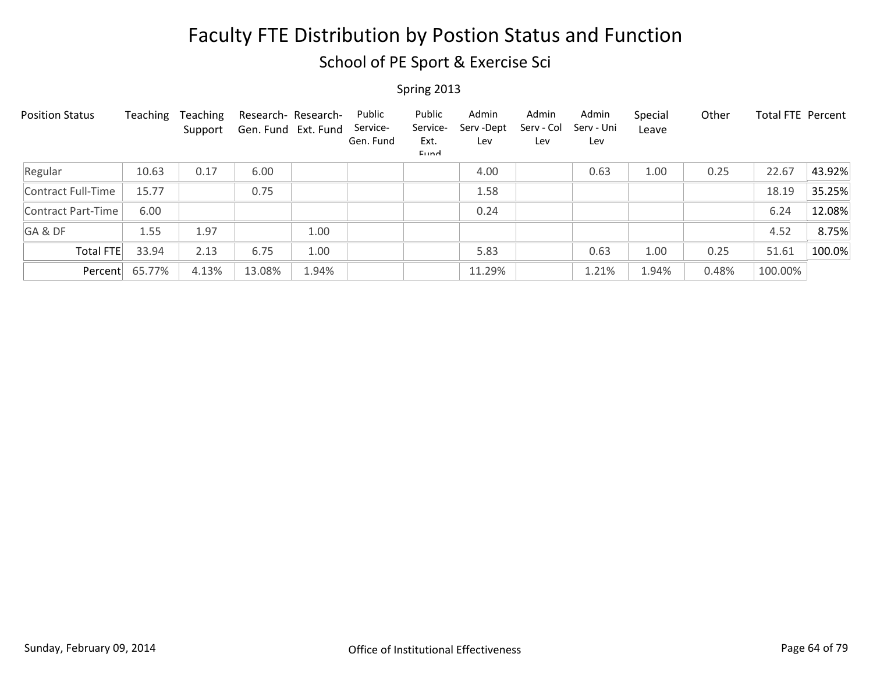School of PE Sport & Exercise Sci

| <b>Position Status</b> | Teaching | Teaching<br>Support | Research- Research-<br>Gen. Fund Ext. Fund |       | Public<br>Service-<br>Gen. Fund | Public<br>Service-<br>Ext.<br>Eund | Admin<br>Serv-Dept<br>Lev | Admin<br>Serv - Col<br>Lev | Admin<br>Serv - Uni<br>Lev | Special<br>Leave | Other | <b>Total FTE Percent</b> |        |
|------------------------|----------|---------------------|--------------------------------------------|-------|---------------------------------|------------------------------------|---------------------------|----------------------------|----------------------------|------------------|-------|--------------------------|--------|
| Regular                | 10.63    | 0.17                | 6.00                                       |       |                                 |                                    | 4.00                      |                            | 0.63                       | 1.00             | 0.25  | 22.67                    | 43.92% |
| Contract Full-Time     | 15.77    |                     | 0.75                                       |       |                                 |                                    | 1.58                      |                            |                            |                  |       | 18.19                    | 35.25% |
| Contract Part-Time     | 6.00     |                     |                                            |       |                                 |                                    | 0.24                      |                            |                            |                  |       | 6.24                     | 12.08% |
| GA&DF                  | 1.55     | 1.97                |                                            | 1.00  |                                 |                                    |                           |                            |                            |                  |       | 4.52                     | 8.75%  |
| Total FTE              | 33.94    | 2.13                | 6.75                                       | 1.00  |                                 |                                    | 5.83                      |                            | 0.63                       | 1.00             | 0.25  | 51.61                    | 100.0% |
| Percent                | 65.77%   | 4.13%               | 13.08%                                     | 1.94% |                                 |                                    | 11.29%                    |                            | 1.21%                      | 1.94%            | 0.48% | 100.00%                  |        |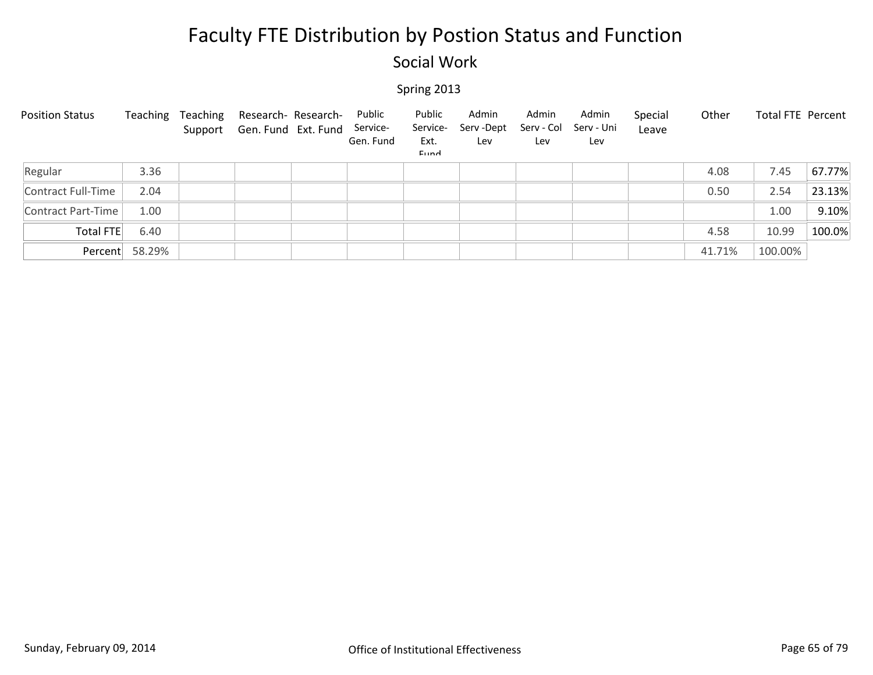### Social Work

| <b>Position Status</b> | Teaching | Teaching | Research- Research-<br>Support Gen. Fund Ext. Fund | Public<br>Service-<br>Gen. Fund | Public<br>Service-<br>Ext.<br>Eund | Admin<br>Serv -Dept<br>Lev | Admin<br>Serv - Col<br>Lev | Admin<br>Serv - Uni<br>Lev | Special<br>Leave | Other  | Total FTE Percent |        |
|------------------------|----------|----------|----------------------------------------------------|---------------------------------|------------------------------------|----------------------------|----------------------------|----------------------------|------------------|--------|-------------------|--------|
| Regular                | 3.36     |          |                                                    |                                 |                                    |                            |                            |                            |                  | 4.08   | 7.45              | 67.77% |
| Contract Full-Time     | 2.04     |          |                                                    |                                 |                                    |                            |                            |                            |                  | 0.50   | 2.54              | 23.13% |
| Contract Part-Time     | 1.00     |          |                                                    |                                 |                                    |                            |                            |                            |                  |        | 1.00              | 9.10%  |
| Total FTE              | 6.40     |          |                                                    |                                 |                                    |                            |                            |                            |                  | 4.58   | 10.99             | 100.0% |
| Percent                | 58.29%   |          |                                                    |                                 |                                    |                            |                            |                            |                  | 41.71% | 100.00%           |        |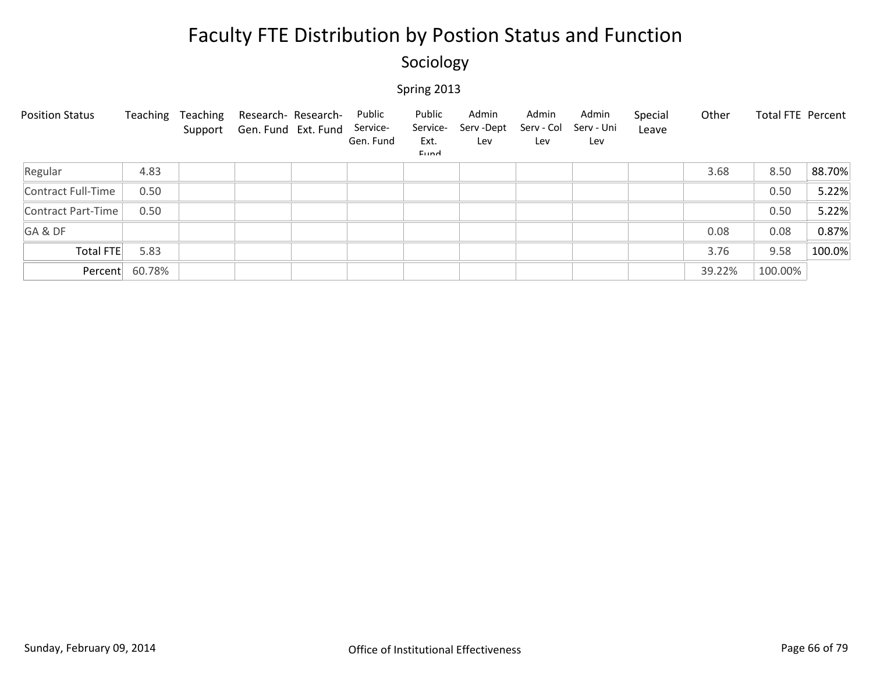### Sociology

| <b>Position Status</b> | Teaching       | Teaching<br>Support | Research- Research-<br>Gen. Fund Ext. Fund | Public<br>Service-<br>Gen. Fund | Public<br>Service-<br>Ext.<br>Eund | Admin<br>Serv -Dept<br>Lev | Admin<br>Serv - Col<br>Lev | Admin<br>Serv - Uni<br>Lev | Special<br>Leave | Other  | Total FTE Percent |        |
|------------------------|----------------|---------------------|--------------------------------------------|---------------------------------|------------------------------------|----------------------------|----------------------------|----------------------------|------------------|--------|-------------------|--------|
| Regular                | 4.83           |                     |                                            |                                 |                                    |                            |                            |                            |                  | 3.68   | 8.50              | 88.70% |
| Contract Full-Time     | 0.50           |                     |                                            |                                 |                                    |                            |                            |                            |                  |        | 0.50              | 5.22%  |
| Contract Part-Time     | 0.50           |                     |                                            |                                 |                                    |                            |                            |                            |                  |        | 0.50              | 5.22%  |
| GA&DF                  |                |                     |                                            |                                 |                                    |                            |                            |                            |                  | 0.08   | 0.08              | 0.87%  |
| Total FTE              | 5.83           |                     |                                            |                                 |                                    |                            |                            |                            |                  | 3.76   | 9.58              | 100.0% |
|                        | Percent 60.78% |                     |                                            |                                 |                                    |                            |                            |                            |                  | 39.22% | 100.00%           |        |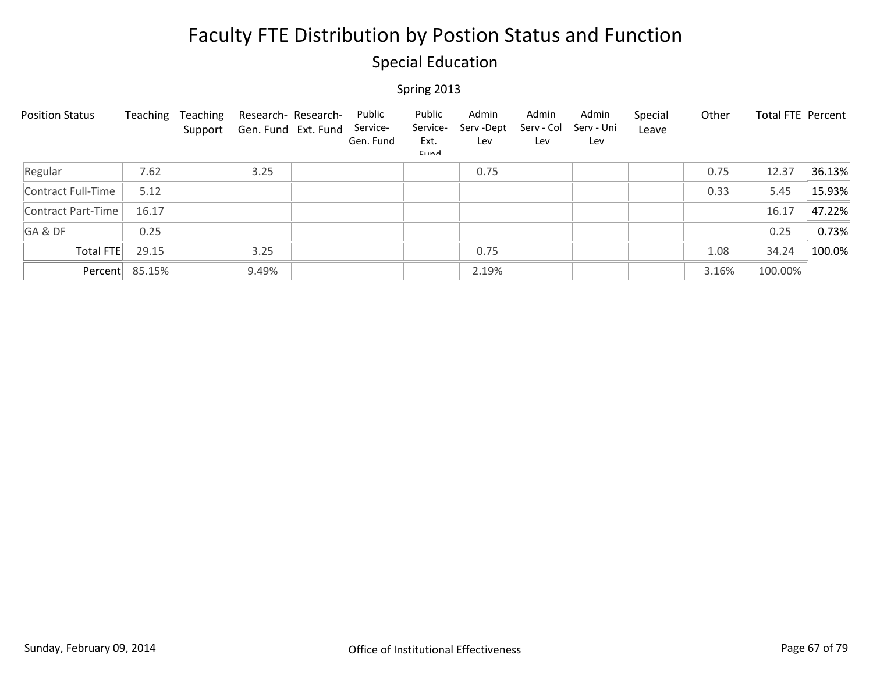### Special Education

| <b>Position Status</b> | Teaching       | Teaching<br>Support | Research- Research-<br>Gen. Fund Ext. Fund | Public<br>Service-<br>Gen. Fund | Public<br>Service-<br>Ext.<br>Eund | Admin<br>Serv - Dept<br>Lev | Admin<br>Serv - Col<br>Lev | Admin<br>Serv - Uni<br>Lev | Special<br>Leave | Other | <b>Total FTE Percent</b> |        |
|------------------------|----------------|---------------------|--------------------------------------------|---------------------------------|------------------------------------|-----------------------------|----------------------------|----------------------------|------------------|-------|--------------------------|--------|
| Regular                | 7.62           |                     | 3.25                                       |                                 |                                    | 0.75                        |                            |                            |                  | 0.75  | 12.37                    | 36.13% |
| Contract Full-Time     | 5.12           |                     |                                            |                                 |                                    |                             |                            |                            |                  | 0.33  | 5.45                     | 15.93% |
| Contract Part-Time     | 16.17          |                     |                                            |                                 |                                    |                             |                            |                            |                  |       | 16.17                    | 47.22% |
| GA&DF                  | 0.25           |                     |                                            |                                 |                                    |                             |                            |                            |                  |       | 0.25                     | 0.73%  |
| Total FTE              | 29.15          |                     | 3.25                                       |                                 |                                    | 0.75                        |                            |                            |                  | 1.08  | 34.24                    | 100.0% |
|                        | Percent 85.15% |                     | 9.49%                                      |                                 |                                    | 2.19%                       |                            |                            |                  | 3.16% | 100.00%                  |        |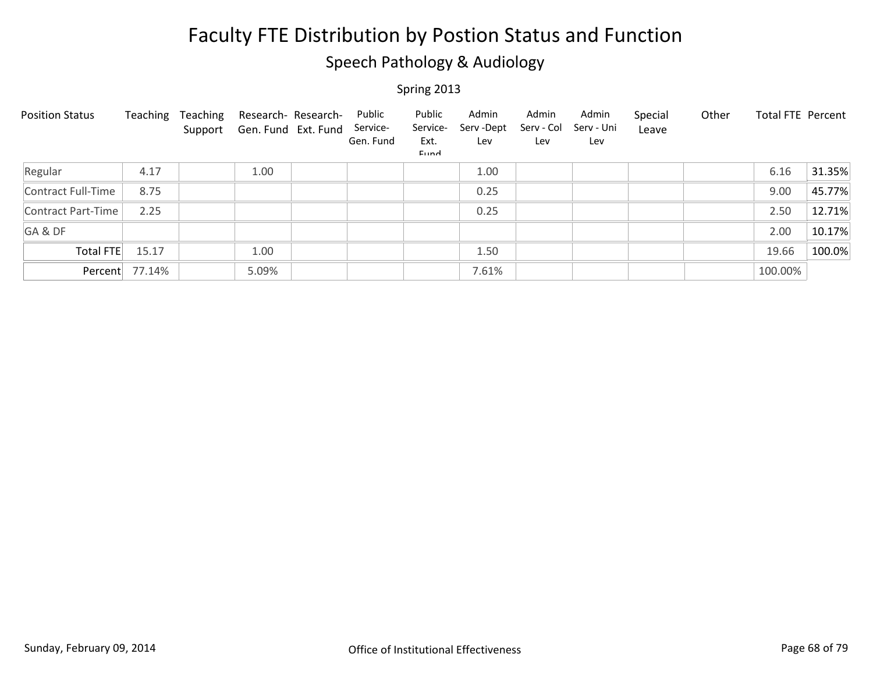### Speech Pathology & Audiology

| <b>Position Status</b> | Teaching       | Teaching | Research- Research-<br>Support Gen. Fund Ext. Fund | Public<br>Service-<br>Gen. Fund | Public<br>Service-<br>Ext.<br>Eund | Admin<br>Serv -Dept<br>Lev | Admin<br>Serv - Col<br>Lev | Admin<br>Serv - Uni<br>Lev | Special<br>Leave | Other | <b>Total FTE Percent</b> |        |
|------------------------|----------------|----------|----------------------------------------------------|---------------------------------|------------------------------------|----------------------------|----------------------------|----------------------------|------------------|-------|--------------------------|--------|
| Regular                | 4.17           |          | 1.00                                               |                                 |                                    | 1.00                       |                            |                            |                  |       | 6.16                     | 31.35% |
| Contract Full-Time     | 8.75           |          |                                                    |                                 |                                    | 0.25                       |                            |                            |                  |       | 9.00                     | 45.77% |
| Contract Part-Time     | 2.25           |          |                                                    |                                 |                                    | 0.25                       |                            |                            |                  |       | 2.50                     | 12.71% |
| GA&DF                  |                |          |                                                    |                                 |                                    |                            |                            |                            |                  |       | 2.00                     | 10.17% |
| Total FTE              | 15.17          |          | 1.00                                               |                                 |                                    | 1.50                       |                            |                            |                  |       | 19.66                    | 100.0% |
|                        | Percent 77.14% |          | 5.09%                                              |                                 |                                    | 7.61%                      |                            |                            |                  |       | 100.00%                  |        |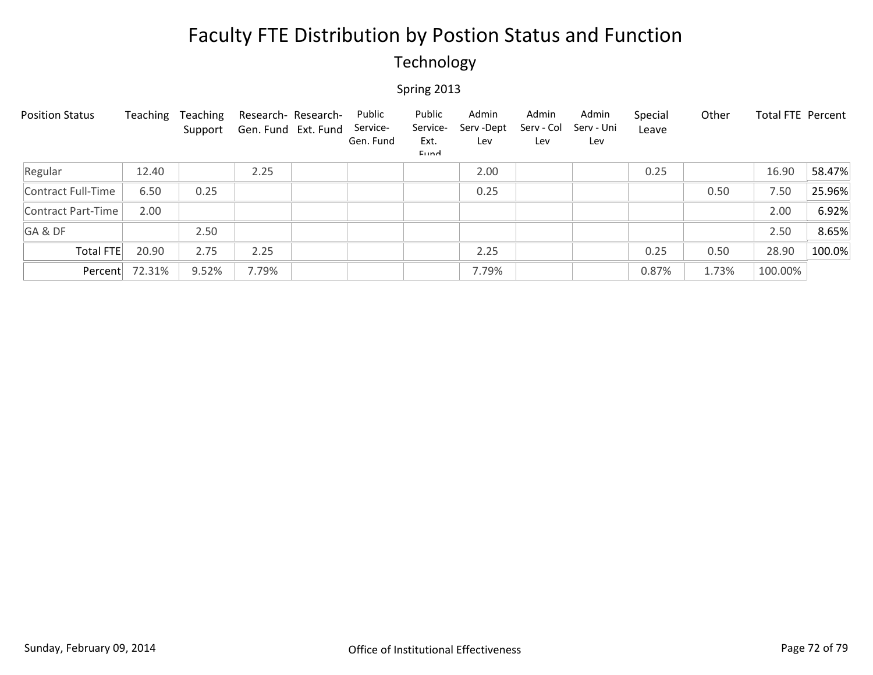### Technology

| <b>Position Status</b> | Teaching | Teaching<br>Support | Research- Research-<br>Gen. Fund Ext. Fund | Public<br>Service-<br>Gen. Fund | Public<br>Service-<br>Ext.<br>Eund | Admin<br>Serv-Dept<br>Lev | Admin<br>Serv - Col<br>Lev | Admin<br>Serv - Uni<br>Lev | Special<br>Leave | Other | Total FTE Percent |        |
|------------------------|----------|---------------------|--------------------------------------------|---------------------------------|------------------------------------|---------------------------|----------------------------|----------------------------|------------------|-------|-------------------|--------|
| Regular                | 12.40    |                     | 2.25                                       |                                 |                                    | 2.00                      |                            |                            | 0.25             |       | 16.90             | 58.47% |
| Contract Full-Time     | 6.50     | 0.25                |                                            |                                 |                                    | 0.25                      |                            |                            |                  | 0.50  | 7.50              | 25.96% |
| Contract Part-Time     | 2.00     |                     |                                            |                                 |                                    |                           |                            |                            |                  |       | 2.00              | 6.92%  |
| GA&DF                  |          | 2.50                |                                            |                                 |                                    |                           |                            |                            |                  |       | 2.50              | 8.65%  |
| <b>Total FTE</b>       | 20.90    | 2.75                | 2.25                                       |                                 |                                    | 2.25                      |                            |                            | 0.25             | 0.50  | 28.90             | 100.0% |
| Percent                | 72.31%   | 9.52%               | 7.79%                                      |                                 |                                    | 7.79%                     |                            |                            | 0.87%            | 1.73% | 100.00%           |        |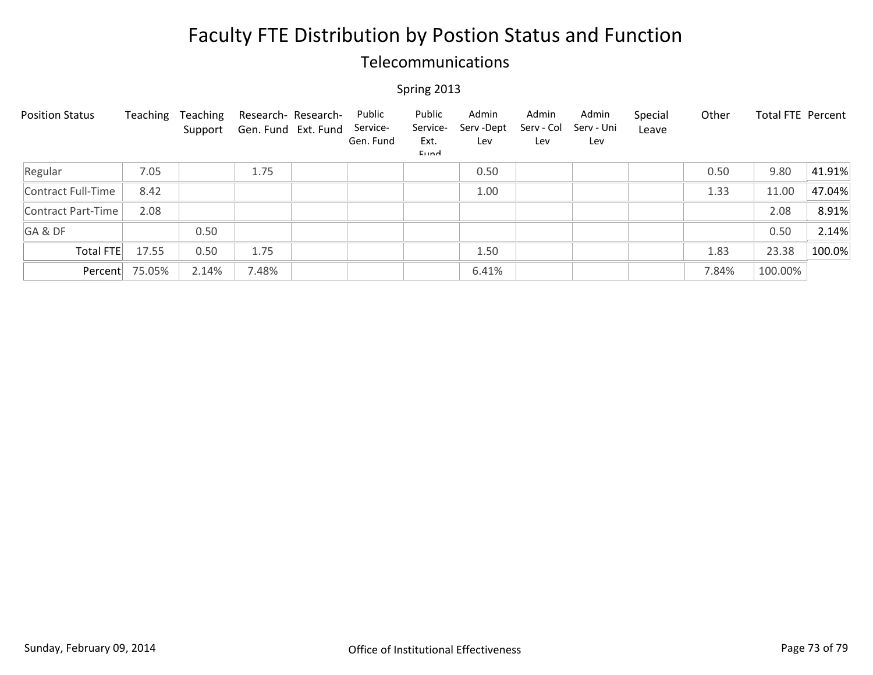### Telecommunications

| <b>Position Status</b> | Teaching | Teaching<br>Support | Gen. Fund Ext. Fund | Research- Research- | Public<br>Service-<br>Gen. Fund | Public<br>Service-<br>Ext.<br>Eund | Admin<br>Serv-Dept<br>Lev | Admin<br>Serv - Col<br>Lev | Admin<br>Serv - Uni<br>Lev | Special<br>Leave | Other | <b>Total FTE Percent</b> |        |
|------------------------|----------|---------------------|---------------------|---------------------|---------------------------------|------------------------------------|---------------------------|----------------------------|----------------------------|------------------|-------|--------------------------|--------|
| Regular                | 7.05     |                     | 1.75                |                     |                                 |                                    | 0.50                      |                            |                            |                  | 0.50  | 9.80                     | 41.91% |
| Contract Full-Time     | 8.42     |                     |                     |                     |                                 |                                    | 1.00                      |                            |                            |                  | 1.33  | 11.00                    | 47.04% |
| Contract Part-Time     | 2.08     |                     |                     |                     |                                 |                                    |                           |                            |                            |                  |       | 2.08                     | 8.91%  |
| GA&DF                  |          | 0.50                |                     |                     |                                 |                                    |                           |                            |                            |                  |       | 0.50                     | 2.14%  |
| Total FTE              | 17.55    | 0.50                | 1.75                |                     |                                 |                                    | 1.50                      |                            |                            |                  | 1.83  | 23.38                    | 100.0% |
| Percent                | 75.05%   | 2.14%               | 7.48%               |                     |                                 |                                    | 6.41%                     |                            |                            |                  | 7.84% | 100.00%                  |        |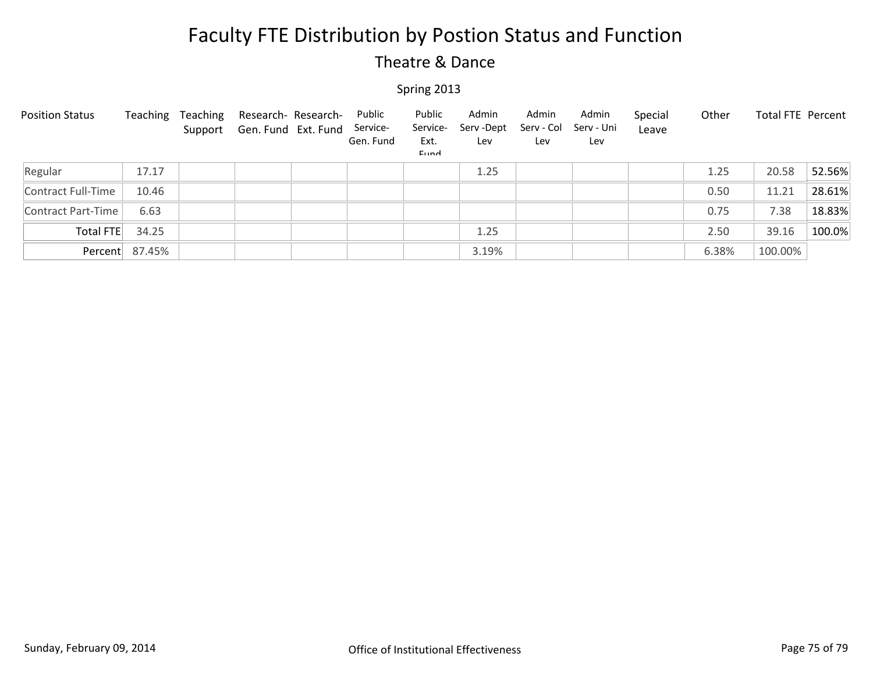### Theatre & Dance

| <b>Position Status</b> | Teaching       | Teaching | Research- Research-<br>Support Gen. Fund Ext. Fund | Public<br>Service-<br>Gen. Fund | Public<br>Service-<br>Ext.<br><b>Fund</b> | Admin<br>Serv -Dept<br>Lev | Admin<br>Serv - Col<br>Lev | Admin<br>Serv - Uni<br>Lev | Special<br>Leave | Other | <b>Total FTE Percent</b> |        |
|------------------------|----------------|----------|----------------------------------------------------|---------------------------------|-------------------------------------------|----------------------------|----------------------------|----------------------------|------------------|-------|--------------------------|--------|
| Regular                | 17.17          |          |                                                    |                                 |                                           | 1.25                       |                            |                            |                  | 1.25  | 20.58                    | 52.56% |
| Contract Full-Time     | 10.46          |          |                                                    |                                 |                                           |                            |                            |                            |                  | 0.50  | 11.21                    | 28.61% |
| Contract Part-Time     | 6.63           |          |                                                    |                                 |                                           |                            |                            |                            |                  | 0.75  | 7.38                     | 18.83% |
| Total FTE              | 34.25          |          |                                                    |                                 |                                           | 1.25                       |                            |                            |                  | 2.50  | 39.16                    | 100.0% |
|                        | Percent 87.45% |          |                                                    |                                 |                                           | 3.19%                      |                            |                            |                  | 6.38% | 100.00%                  |        |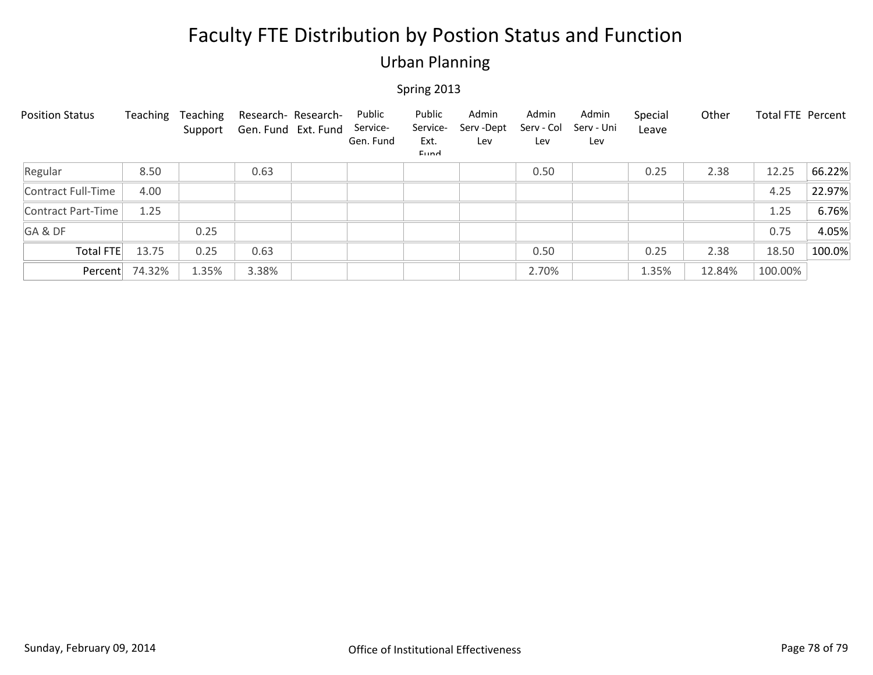### Urban Planning

| <b>Position Status</b> | Teaching | Teaching<br>Support | Research- Research-<br>Gen. Fund Ext. Fund | Public<br>Service-<br>Gen. Fund | Public<br>Service-<br>Ext.<br>Eund | Admin<br>Serv -Dept<br>Lev | Admin<br>Serv - Col<br>Lev | Admin<br>Serv - Uni<br>Lev | Special<br>Leave | Other  | Total FTE Percent |        |
|------------------------|----------|---------------------|--------------------------------------------|---------------------------------|------------------------------------|----------------------------|----------------------------|----------------------------|------------------|--------|-------------------|--------|
| Regular                | 8.50     |                     | 0.63                                       |                                 |                                    |                            | 0.50                       |                            | 0.25             | 2.38   | 12.25             | 66.22% |
| Contract Full-Time     | 4.00     |                     |                                            |                                 |                                    |                            |                            |                            |                  |        | 4.25              | 22.97% |
| Contract Part-Time     | 1.25     |                     |                                            |                                 |                                    |                            |                            |                            |                  |        | 1.25              | 6.76%  |
| GA&DF                  |          | 0.25                |                                            |                                 |                                    |                            |                            |                            |                  |        | 0.75              | 4.05%  |
| Total FTE              | 13.75    | 0.25                | 0.63                                       |                                 |                                    |                            | 0.50                       |                            | 0.25             | 2.38   | 18.50             | 100.0% |
| Percent                | 74.32%   | 1.35%               | 3.38%                                      |                                 |                                    |                            | 2.70%                      |                            | 1.35%            | 12.84% | 100.00%           |        |